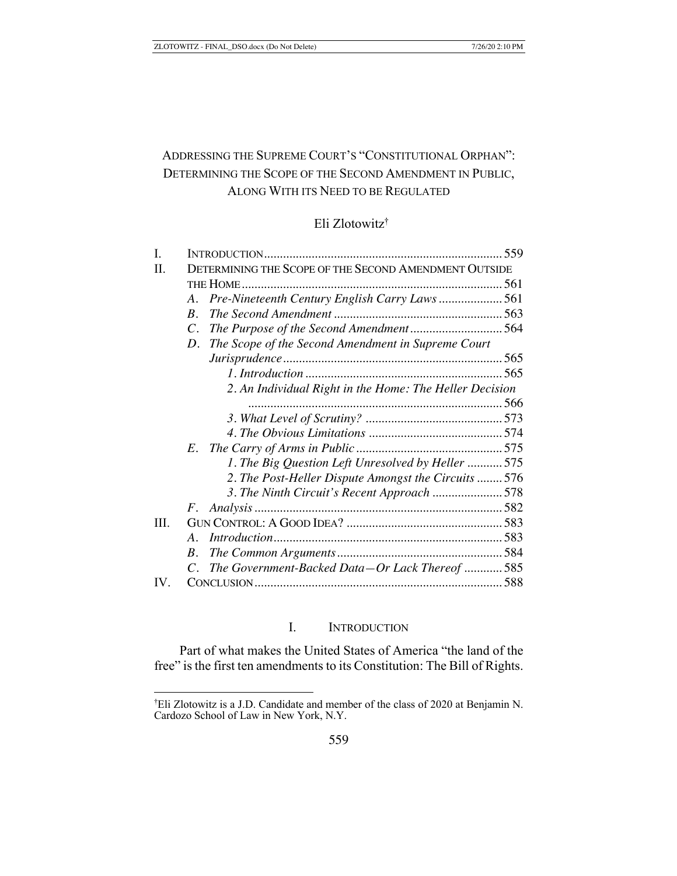# ADDRESSING THE SUPREME COURT'S "CONSTITUTIONAL ORPHAN": DETERMINING THE SCOPE OF THE SECOND AMENDMENT IN PUBLIC, ALONG WITH ITS NEED TO BE REGULATED

## Eli Zlotowitz†

| I.                |                                                          |  |
|-------------------|----------------------------------------------------------|--|
| H.                | DETERMINING THE SCOPE OF THE SECOND AMENDMENT OUTSIDE    |  |
|                   |                                                          |  |
|                   | $A_{\cdot}$                                              |  |
|                   | $\boldsymbol{R}$ .                                       |  |
|                   | $\overline{C}$ .                                         |  |
|                   | The Scope of the Second Amendment in Supreme Court<br>D. |  |
|                   |                                                          |  |
|                   |                                                          |  |
|                   | 2. An Individual Right in the Home: The Heller Decision  |  |
|                   |                                                          |  |
|                   |                                                          |  |
|                   |                                                          |  |
|                   |                                                          |  |
|                   | 1. The Big Question Left Unresolved by Heller  575       |  |
|                   | 2. The Post-Heller Dispute Amongst the Circuits  576     |  |
|                   | 3. The Ninth Circuit's Recent Approach 578               |  |
|                   |                                                          |  |
| Ш.                |                                                          |  |
|                   | A.                                                       |  |
|                   | $B_{-}$                                                  |  |
|                   | C. The Government-Backed Data-Or Lack Thereof  585       |  |
| $\mathbf{IV}_{-}$ |                                                          |  |

# I. INTRODUCTION

Part of what makes the United States of America "the land of the free" is the first ten amendments to its Constitution: The Bill of Rights.

<sup>†</sup> Eli Zlotowitz is a J.D. Candidate and member of the class of 2020 at Benjamin N. Cardozo School of Law in New York, N.Y.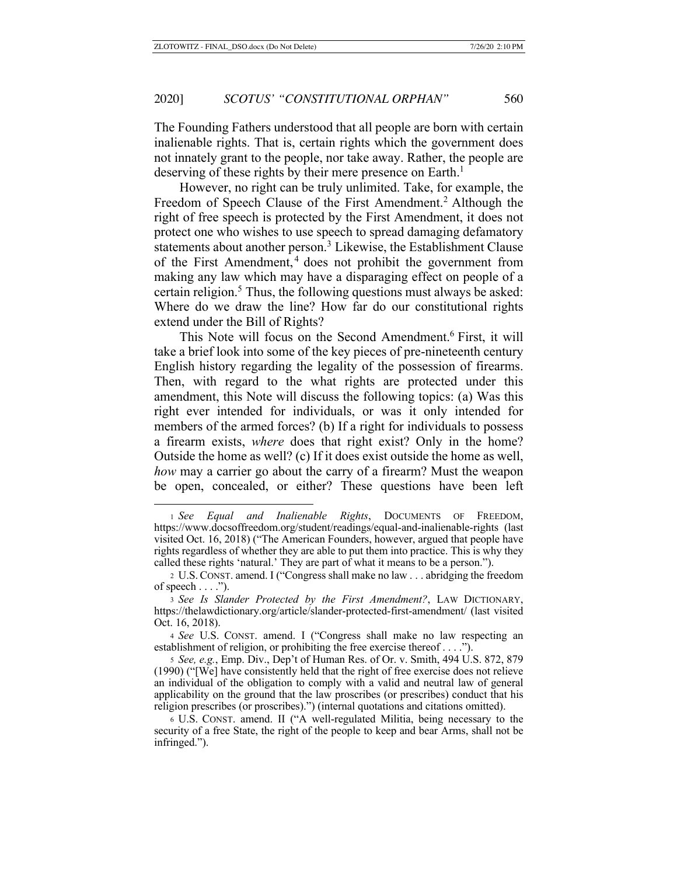The Founding Fathers understood that all people are born with certain inalienable rights. That is, certain rights which the government does not innately grant to the people, nor take away. Rather, the people are deserving of these rights by their mere presence on Earth.<sup>1</sup>

However, no right can be truly unlimited. Take, for example, the Freedom of Speech Clause of the First Amendment.<sup>2</sup> Although the right of free speech is protected by the First Amendment, it does not protect one who wishes to use speech to spread damaging defamatory statements about another person.<sup>3</sup> Likewise, the Establishment Clause of the First Amendment, 4 does not prohibit the government from making any law which may have a disparaging effect on people of a certain religion.<sup>5</sup> Thus, the following questions must always be asked: Where do we draw the line? How far do our constitutional rights extend under the Bill of Rights?

This Note will focus on the Second Amendment.6 First, it will take a brief look into some of the key pieces of pre-nineteenth century English history regarding the legality of the possession of firearms. Then, with regard to the what rights are protected under this amendment, this Note will discuss the following topics: (a) Was this right ever intended for individuals, or was it only intended for members of the armed forces? (b) If a right for individuals to possess a firearm exists, *where* does that right exist? Only in the home? Outside the home as well? (c) If it does exist outside the home as well, *how* may a carrier go about the carry of a firearm? Must the weapon be open, concealed, or either? These questions have been left

<sup>1</sup> *See Equal and Inalienable Rights*, DOCUMENTS OF FREEDOM, https://www.docsoffreedom.org/student/readings/equal-and-inalienable-rights (last visited Oct. 16, 2018) ("The American Founders, however, argued that people have rights regardless of whether they are able to put them into practice. This is why they called these rights 'natural.' They are part of what it means to be a person.").

<sup>2</sup> U.S. CONST. amend. I ("Congress shall make no law . . . abridging the freedom of speech  $\dots$ .").

<sup>3</sup> *See Is Slander Protected by the First Amendment?*, LAW DICTIONARY, https://thelawdictionary.org/article/slander-protected-first-amendment/ (last visited Oct. 16, 2018).

<sup>4</sup> *See* U.S. CONST. amend. I ("Congress shall make no law respecting an establishment of religion, or prohibiting the free exercise thereof . . . .").

<sup>5</sup> *See, e.g.*, Emp. Div., Dep't of Human Res. of Or. v. Smith, 494 U.S. 872, 879 (1990) ("[We] have consistently held that the right of free exercise does not relieve an individual of the obligation to comply with a valid and neutral law of general applicability on the ground that the law proscribes (or prescribes) conduct that his religion prescribes (or proscribes).") (internal quotations and citations omitted).

<sup>6</sup> U.S. CONST. amend. II ("A well-regulated Militia, being necessary to the security of a free State, the right of the people to keep and bear Arms, shall not be infringed.").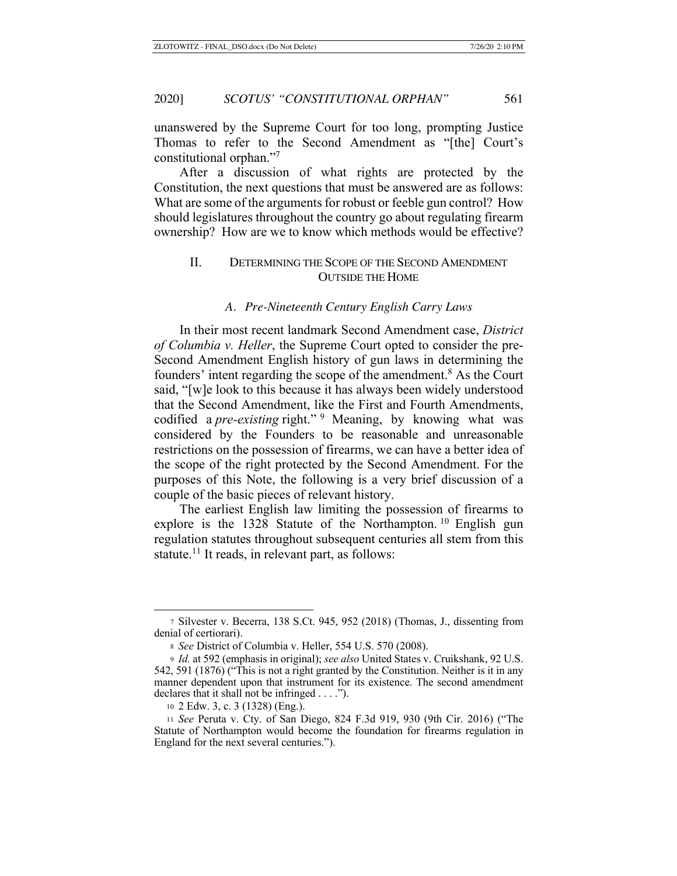unanswered by the Supreme Court for too long, prompting Justice Thomas to refer to the Second Amendment as "[the] Court's constitutional orphan."7

After a discussion of what rights are protected by the Constitution, the next questions that must be answered are as follows: What are some of the arguments for robust or feeble gun control? How should legislatures throughout the country go about regulating firearm ownership? How are we to know which methods would be effective?

# II. DETERMINING THE SCOPE OF THE SECOND AMENDMENT OUTSIDE THE HOME

#### *A. Pre-Nineteenth Century English Carry Laws*

In their most recent landmark Second Amendment case, *District of Columbia v. Heller*, the Supreme Court opted to consider the pre-Second Amendment English history of gun laws in determining the founders' intent regarding the scope of the amendment.<sup>8</sup> As the Court said, "[w]e look to this because it has always been widely understood that the Second Amendment, like the First and Fourth Amendments, codified a *pre-existing* right."<sup>9</sup> Meaning, by knowing what was considered by the Founders to be reasonable and unreasonable restrictions on the possession of firearms, we can have a better idea of the scope of the right protected by the Second Amendment. For the purposes of this Note, the following is a very brief discussion of a couple of the basic pieces of relevant history.

The earliest English law limiting the possession of firearms to explore is the 1328 Statute of the Northampton.<sup>10</sup> English gun regulation statutes throughout subsequent centuries all stem from this statute.<sup>11</sup> It reads, in relevant part, as follows:

<sup>7</sup> Silvester v. Becerra, 138 S.Ct. 945, 952 (2018) (Thomas, J., dissenting from denial of certiorari).

<sup>8</sup> *See* District of Columbia v. Heller, 554 U.S. 570 (2008).

<sup>9</sup> *Id.* at 592 (emphasis in original); *see also* United States v. Cruikshank, 92 U.S. 542, 591 (1876) ("This is not a right granted by the Constitution. Neither is it in any manner dependent upon that instrument for its existence. The second amendment declares that it shall not be infringed . . . .").

<sup>10</sup> 2 Edw. 3, c. 3 (1328) (Eng.).

<sup>11</sup> *See* Peruta v. Cty. of San Diego, 824 F.3d 919, 930 (9th Cir. 2016) ("The Statute of Northampton would become the foundation for firearms regulation in England for the next several centuries.").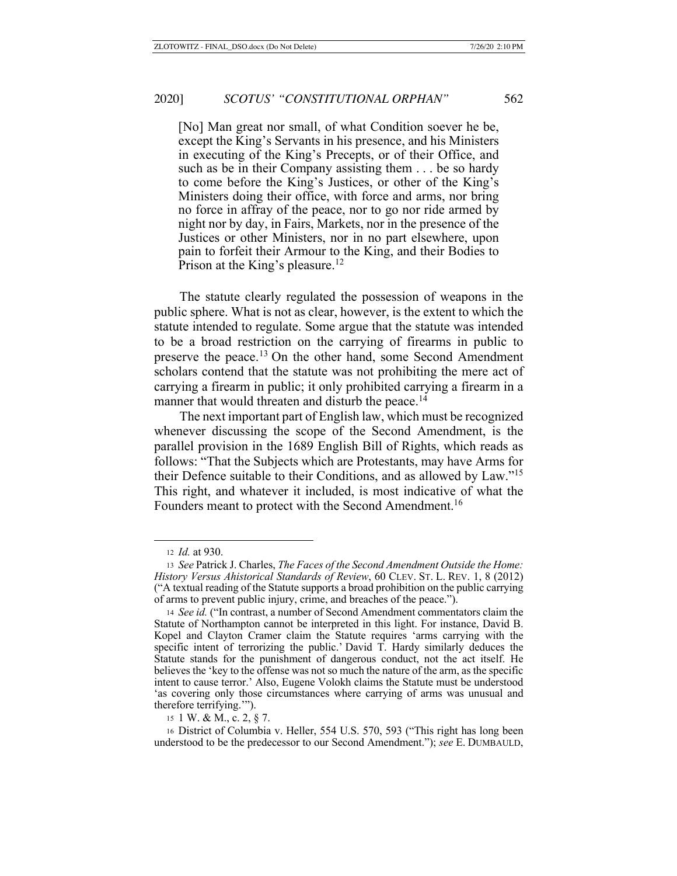[No] Man great nor small, of what Condition soever he be, except the King's Servants in his presence, and his Ministers in executing of the King's Precepts, or of their Office, and such as be in their Company assisting them . . . be so hardy to come before the King's Justices, or other of the King's Ministers doing their office, with force and arms, nor bring no force in affray of the peace, nor to go nor ride armed by night nor by day, in Fairs, Markets, nor in the presence of the Justices or other Ministers, nor in no part elsewhere, upon pain to forfeit their Armour to the King, and their Bodies to Prison at the King's pleasure.<sup>12</sup>

The statute clearly regulated the possession of weapons in the public sphere. What is not as clear, however, is the extent to which the statute intended to regulate. Some argue that the statute was intended to be a broad restriction on the carrying of firearms in public to preserve the peace.<sup>13</sup> On the other hand, some Second Amendment scholars contend that the statute was not prohibiting the mere act of carrying a firearm in public; it only prohibited carrying a firearm in a manner that would threaten and disturb the peace.<sup>14</sup>

The next important part of English law, which must be recognized whenever discussing the scope of the Second Amendment, is the parallel provision in the 1689 English Bill of Rights, which reads as follows: "That the Subjects which are Protestants, may have Arms for their Defence suitable to their Conditions, and as allowed by Law."15 This right, and whatever it included, is most indicative of what the Founders meant to protect with the Second Amendment.<sup>16</sup>

<sup>12</sup> *Id.* at 930.

<sup>13</sup> *See* Patrick J. Charles, *The Faces of the Second Amendment Outside the Home: History Versus Ahistorical Standards of Review*, 60 CLEV. ST. L. REV. 1, 8 (2012) ("A textual reading of the Statute supports a broad prohibition on the public carrying of arms to prevent public injury, crime, and breaches of the peace.").

<sup>14</sup> *See id.* ("In contrast, a number of Second Amendment commentators claim the Statute of Northampton cannot be interpreted in this light. For instance, David B. Kopel and Clayton Cramer claim the Statute requires 'arms carrying with the specific intent of terrorizing the public.' David T. Hardy similarly deduces the Statute stands for the punishment of dangerous conduct, not the act itself. He believes the 'key to the offense was not so much the nature of the arm, as the specific intent to cause terror.' Also, Eugene Volokh claims the Statute must be understood 'as covering only those circumstances where carrying of arms was unusual and therefore terrifying.'").

<sup>15</sup> 1 W. & M., c. 2, § 7.

<sup>16</sup> District of Columbia v. Heller, 554 U.S. 570, 593 ("This right has long been understood to be the predecessor to our Second Amendment."); *see* E. DUMBAULD,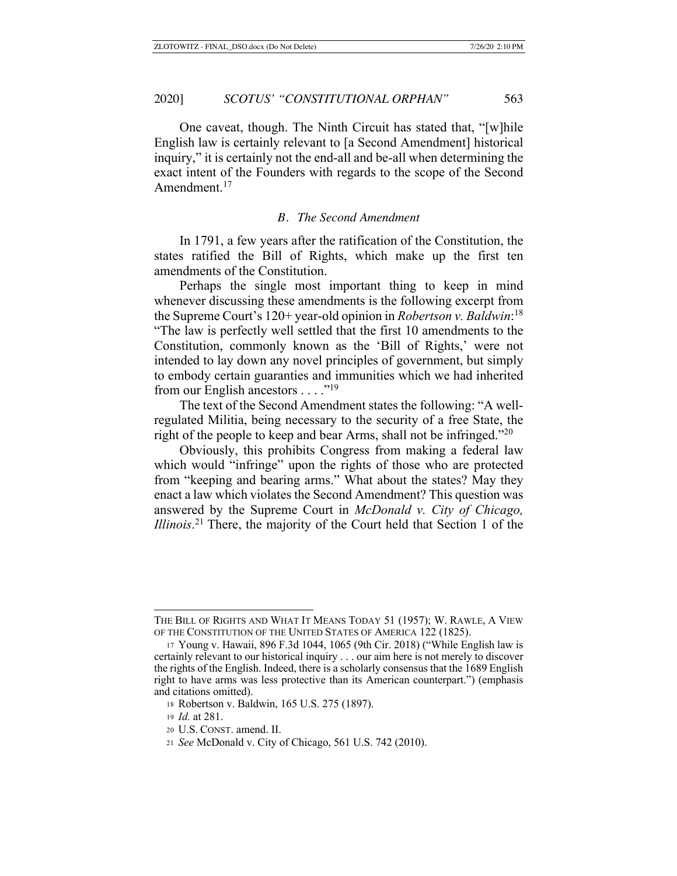One caveat, though. The Ninth Circuit has stated that, "[w]hile English law is certainly relevant to [a Second Amendment] historical inquiry," it is certainly not the end-all and be-all when determining the exact intent of the Founders with regards to the scope of the Second Amendment.<sup>17</sup>

### *B. The Second Amendment*

In 1791, a few years after the ratification of the Constitution, the states ratified the Bill of Rights, which make up the first ten amendments of the Constitution.

Perhaps the single most important thing to keep in mind whenever discussing these amendments is the following excerpt from the Supreme Court's 120+ year-old opinion in *Robertson v. Baldwin*: 18 "The law is perfectly well settled that the first 10 amendments to the Constitution, commonly known as the 'Bill of Rights,' were not intended to lay down any novel principles of government, but simply to embody certain guaranties and immunities which we had inherited from our English ancestors  $\dots$ ."<sup>19</sup>

The text of the Second Amendment states the following: "A wellregulated Militia, being necessary to the security of a free State, the right of the people to keep and bear Arms, shall not be infringed."<sup>20</sup>

Obviously, this prohibits Congress from making a federal law which would "infringe" upon the rights of those who are protected from "keeping and bearing arms." What about the states? May they enact a law which violates the Second Amendment? This question was answered by the Supreme Court in *McDonald v. City of Chicago, Illinois*. 21 There, the majority of the Court held that Section 1 of the

THE BILL OF RIGHTS AND WHAT IT MEANS TODAY 51 (1957); W. RAWLE, A VIEW OF THE CONSTITUTION OF THE UNITED STATES OF AMERICA 122 (1825).

<sup>17</sup> Young v. Hawaii, 896 F.3d 1044, 1065 (9th Cir. 2018) ("While English law is certainly relevant to our historical inquiry . . . our aim here is not merely to discover the rights of the English. Indeed, there is a scholarly consensus that the 1689 English right to have arms was less protective than its American counterpart.") (emphasis and citations omitted).

<sup>18</sup> Robertson v. Baldwin, 165 U.S. 275 (1897).

<sup>19</sup> *Id.* at 281.

<sup>20</sup> U.S. CONST. amend. II.

<sup>21</sup> *See* McDonald v. City of Chicago, 561 U.S. 742 (2010).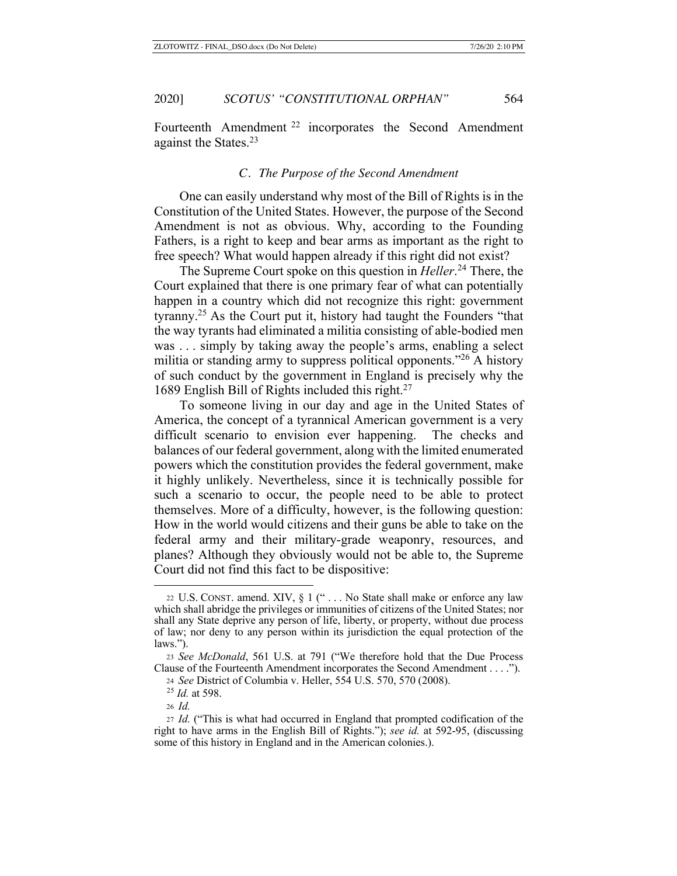Fourteenth Amendment<sup>22</sup> incorporates the Second Amendment against the States.23

### *C. The Purpose of the Second Amendment*

One can easily understand why most of the Bill of Rights is in the Constitution of the United States. However, the purpose of the Second Amendment is not as obvious. Why, according to the Founding Fathers, is a right to keep and bear arms as important as the right to free speech? What would happen already if this right did not exist?

The Supreme Court spoke on this question in *Heller*. 24 There, the Court explained that there is one primary fear of what can potentially happen in a country which did not recognize this right: government tyranny.25 As the Court put it, history had taught the Founders "that the way tyrants had eliminated a militia consisting of able-bodied men was . . . simply by taking away the people's arms, enabling a select militia or standing army to suppress political opponents."<sup>26</sup> A history of such conduct by the government in England is precisely why the 1689 English Bill of Rights included this right.27

To someone living in our day and age in the United States of America, the concept of a tyrannical American government is a very difficult scenario to envision ever happening. The checks and balances of our federal government, along with the limited enumerated powers which the constitution provides the federal government, make it highly unlikely. Nevertheless, since it is technically possible for such a scenario to occur, the people need to be able to protect themselves. More of a difficulty, however, is the following question: How in the world would citizens and their guns be able to take on the federal army and their military-grade weaponry, resources, and planes? Although they obviously would not be able to, the Supreme Court did not find this fact to be dispositive:

<sup>22</sup> U.S. CONST. amend. XIV, § 1 (" . . . No State shall make or enforce any law which shall abridge the privileges or immunities of citizens of the United States; nor shall any State deprive any person of life, liberty, or property, without due process of law; nor deny to any person within its jurisdiction the equal protection of the laws.").

<sup>23</sup> *See McDonald*, 561 U.S. at 791 ("We therefore hold that the Due Process Clause of the Fourteenth Amendment incorporates the Second Amendment . . . .").

<sup>24</sup> *See* District of Columbia v. Heller, 554 U.S. 570, 570 (2008).

<sup>25</sup> *Id.* at 598.

<sup>26</sup> *Id.*

<sup>27</sup> *Id.* ("This is what had occurred in England that prompted codification of the right to have arms in the English Bill of Rights."); *see id.* at 592-95, (discussing some of this history in England and in the American colonies.).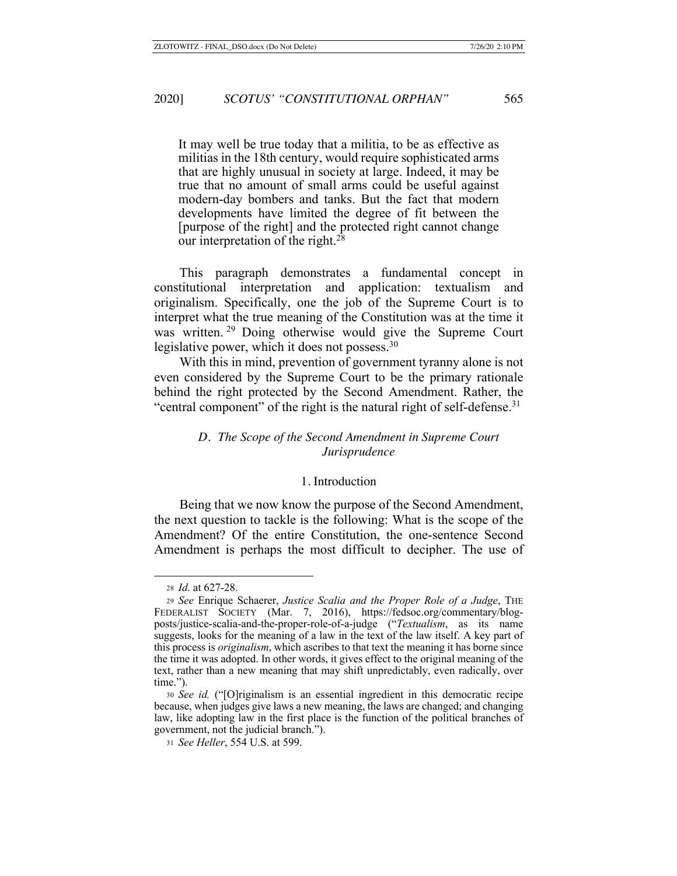It may well be true today that a militia, to be as effective as militias in the 18th century, would require sophisticated arms that are highly unusual in society at large. Indeed, it may be true that no amount of small arms could be useful against modern-day bombers and tanks. But the fact that modern developments have limited the degree of fit between the [purpose of the right] and the protected right cannot change our interpretation of the right.<sup>28</sup>

This paragraph demonstrates a fundamental concept in constitutional interpretation and application: textualism and originalism. Specifically, one the job of the Supreme Court is to interpret what the true meaning of the Constitution was at the time it was written. 29 Doing otherwise would give the Supreme Court legislative power, which it does not possess.30

With this in mind, prevention of government tyranny alone is not even considered by the Supreme Court to be the primary rationale behind the right protected by the Second Amendment. Rather, the "central component" of the right is the natural right of self-defense. $31$ 

### *D. The Scope of the Second Amendment in Supreme Court Jurisprudence*

#### 1. Introduction

Being that we now know the purpose of the Second Amendment, the next question to tackle is the following: What is the scope of the Amendment? Of the entire Constitution, the one-sentence Second Amendment is perhaps the most difficult to decipher. The use of

<sup>28</sup> *Id.* at 627-28.

<sup>29</sup> *See* Enrique Schaerer, *Justice Scalia and the Proper Role of a Judge*, THE FEDERALIST SOCIETY (Mar. 7, 2016), https://fedsoc.org/commentary/blogposts/justice-scalia-and-the-proper-role-of-a-judge ("*Textualism*, as its name suggests, looks for the meaning of a law in the text of the law itself. A key part of this process is *originalism*, which ascribes to that text the meaning it has borne since the time it was adopted. In other words, it gives effect to the original meaning of the text, rather than a new meaning that may shift unpredictably, even radically, over time.").

<sup>30</sup> *See id.* ("[O]riginalism is an essential ingredient in this democratic recipe because, when judges give laws a new meaning, the laws are changed; and changing law, like adopting law in the first place is the function of the political branches of government, not the judicial branch.").

<sup>31</sup> *See Heller*, 554 U.S. at 599.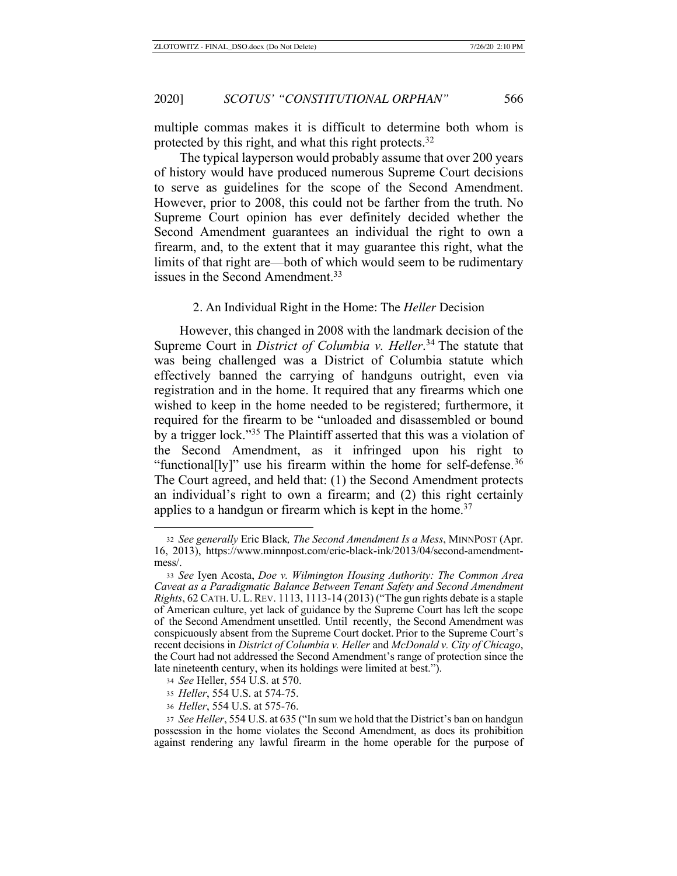multiple commas makes it is difficult to determine both whom is protected by this right, and what this right protects.<sup>32</sup>

The typical layperson would probably assume that over 200 years of history would have produced numerous Supreme Court decisions to serve as guidelines for the scope of the Second Amendment. However, prior to 2008, this could not be farther from the truth. No Supreme Court opinion has ever definitely decided whether the Second Amendment guarantees an individual the right to own a firearm, and, to the extent that it may guarantee this right, what the limits of that right are—both of which would seem to be rudimentary issues in the Second Amendment.<sup>33</sup>

#### 2. An Individual Right in the Home: The *Heller* Decision

However, this changed in 2008 with the landmark decision of the Supreme Court in *District of Columbia v. Heller*. 34 The statute that was being challenged was a District of Columbia statute which effectively banned the carrying of handguns outright, even via registration and in the home. It required that any firearms which one wished to keep in the home needed to be registered; furthermore, it required for the firearm to be "unloaded and disassembled or bound by a trigger lock."35 The Plaintiff asserted that this was a violation of the Second Amendment, as it infringed upon his right to "functional[ly]" use his firearm within the home for self-defense. $36$ The Court agreed, and held that: (1) the Second Amendment protects an individual's right to own a firearm; and (2) this right certainly applies to a handgun or firearm which is kept in the home.<sup>37</sup>

<sup>32</sup> *See generally* Eric Black*, The Second Amendment Is a Mess*, MINNPOST (Apr. 16, 2013), https://www.minnpost.com/eric-black-ink/2013/04/second-amendmentmess/.

<sup>33</sup> *See* Iyen Acosta, *Doe v. Wilmington Housing Authority: The Common Area Caveat as a Paradigmatic Balance Between Tenant Safety and Second Amendment Rights*, 62 CATH. U.L.REV. 1113, 1113-14 (2013) ("The gun rights debate is a staple of American culture, yet lack of guidance by the Supreme Court has left the scope of the Second Amendment unsettled. Until recently, the Second Amendment was conspicuously absent from the Supreme Court docket. Prior to the Supreme Court's recent decisions in *District of Columbia v. Heller* and *McDonald v. City of Chicago*, the Court had not addressed the Second Amendment's range of protection since the late nineteenth century, when its holdings were limited at best.").

<sup>34</sup> *See* Heller, 554 U.S. at 570.

<sup>35</sup> *Heller*, 554 U.S. at 574-75.

<sup>36</sup> *Heller*, 554 U.S. at 575-76.

<sup>37</sup> *See Heller*, 554 U.S. at 635 ("In sum we hold that the District's ban on handgun possession in the home violates the Second Amendment, as does its prohibition against rendering any lawful firearm in the home operable for the purpose of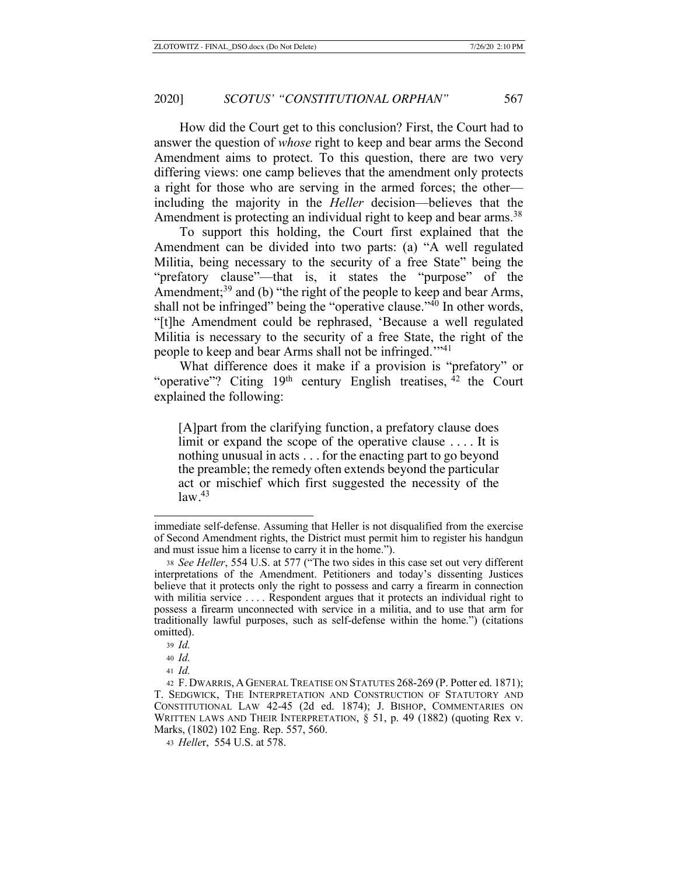How did the Court get to this conclusion? First, the Court had to answer the question of *whose* right to keep and bear arms the Second Amendment aims to protect. To this question, there are two very differing views: one camp believes that the amendment only protects a right for those who are serving in the armed forces; the other including the majority in the *Heller* decision—believes that the Amendment is protecting an individual right to keep and bear arms.<sup>38</sup>

To support this holding, the Court first explained that the Amendment can be divided into two parts: (a) "A well regulated Militia, being necessary to the security of a free State" being the "prefatory clause"—that is, it states the "purpose" of the Amendment;<sup>39</sup> and (b) "the right of the people to keep and bear Arms, shall not be infringed" being the "operative clause."40 In other words, "[t]he Amendment could be rephrased, 'Because a well regulated Militia is necessary to the security of a free State, the right of the people to keep and bear Arms shall not be infringed.'"41

What difference does it make if a provision is "prefatory" or "operative"? Citing  $19<sup>th</sup>$  century English treatises,  $42$  the Court explained the following:

[A]part from the clarifying function, a prefatory clause does limit or expand the scope of the operative clause .... It is nothing unusual in acts . . . for the enacting part to go beyond the preamble; the remedy often extends beyond the particular act or mischief which first suggested the necessity of the  $law.<sup>43</sup>$ 

immediate self-defense. Assuming that Heller is not disqualified from the exercise of Second Amendment rights, the District must permit him to register his handgun and must issue him a license to carry it in the home.").

<sup>38</sup> *See Heller*, 554 U.S. at 577 ("The two sides in this case set out very different interpretations of the Amendment. Petitioners and today's dissenting Justices believe that it protects only the right to possess and carry a firearm in connection with militia service .... Respondent argues that it protects an individual right to possess a firearm unconnected with service in a militia, and to use that arm for traditionally lawful purposes, such as self-defense within the home.") (citations omitted).

<sup>39</sup> *Id.*

<sup>40</sup> *Id.*

<sup>41</sup> *Id.*

<sup>42</sup> F. DWARRIS, A GENERAL TREATISE ON STATUTES 268-269 (P. Potter ed. 1871); T. SEDGWICK, THE INTERPRETATION AND CONSTRUCTION OF STATUTORY AND CONSTITUTIONAL LAW 42-45 (2d ed. 1874); J. BISHOP, COMMENTARIES ON WRITTEN LAWS AND THEIR INTERPRETATION, § 51, p. 49 (1882) (quoting Rex v. Marks, (1802) 102 Eng. Rep. 557, 560.

<sup>43</sup> *Helle*r,554 U.S. at 578.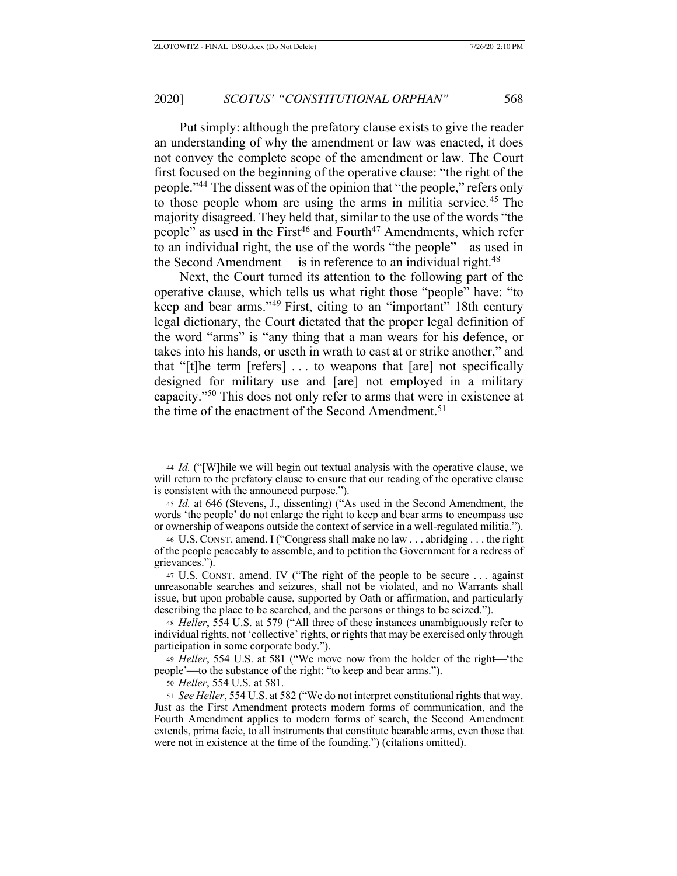Put simply: although the prefatory clause exists to give the reader an understanding of why the amendment or law was enacted, it does not convey the complete scope of the amendment or law. The Court first focused on the beginning of the operative clause: "the right of the people."44 The dissent was of the opinion that "the people," refers only to those people whom are using the arms in militia service.45 The majority disagreed. They held that, similar to the use of the words "the people" as used in the First<sup>46</sup> and Fourth<sup>47</sup> Amendments, which refer to an individual right, the use of the words "the people"––as used in the Second Amendment— is in reference to an individual right. $48$ 

Next, the Court turned its attention to the following part of the operative clause, which tells us what right those "people" have: "to keep and bear arms."49 First, citing to an "important" 18th century legal dictionary, the Court dictated that the proper legal definition of the word "arms" is "any thing that a man wears for his defence, or takes into his hands, or useth in wrath to cast at or strike another," and that "[t]he term [refers] . . . to weapons that [are] not specifically designed for military use and [are] not employed in a military capacity."50 This does not only refer to arms that were in existence at the time of the enactment of the Second Amendment.<sup>51</sup>

<sup>44</sup> *Id.* ("[W]hile we will begin out textual analysis with the operative clause, we will return to the prefatory clause to ensure that our reading of the operative clause is consistent with the announced purpose.").

<sup>45</sup> *Id.* at 646 (Stevens, J., dissenting) ("As used in the Second Amendment, the words 'the people' do not enlarge the right to keep and bear arms to encompass use or ownership of weapons outside the context of service in a well-regulated militia.").

<sup>46</sup> U.S. CONST. amend. I ("Congress shall make no law . . . abridging . . . the right of the people peaceably to assemble, and to petition the Government for a redress of grievances.").

<sup>47</sup> U.S. CONST. amend. IV ("The right of the people to be secure . . . against unreasonable searches and seizures, shall not be violated, and no Warrants shall issue, but upon probable cause, supported by Oath or affirmation, and particularly describing the place to be searched, and the persons or things to be seized.").

<sup>48</sup> *Heller*, 554 U.S. at 579 ("All three of these instances unambiguously refer to individual rights, not 'collective' rights, or rights that may be exercised only through participation in some corporate body.").

<sup>49</sup> *Heller*, 554 U.S. at 581 ("We move now from the holder of the right—'the people'—to the substance of the right: "to keep and bear arms.").

<sup>50</sup> *Heller*, 554 U.S. at 581.

<sup>51</sup> *See Heller*, 554 U.S. at 582 ("We do not interpret constitutional rights that way. Just as the First Amendment protects modern forms of communication, and the Fourth Amendment applies to modern forms of search, the Second Amendment extends, prima facie, to all instruments that constitute bearable arms, even those that were not in existence at the time of the founding.") (citations omitted).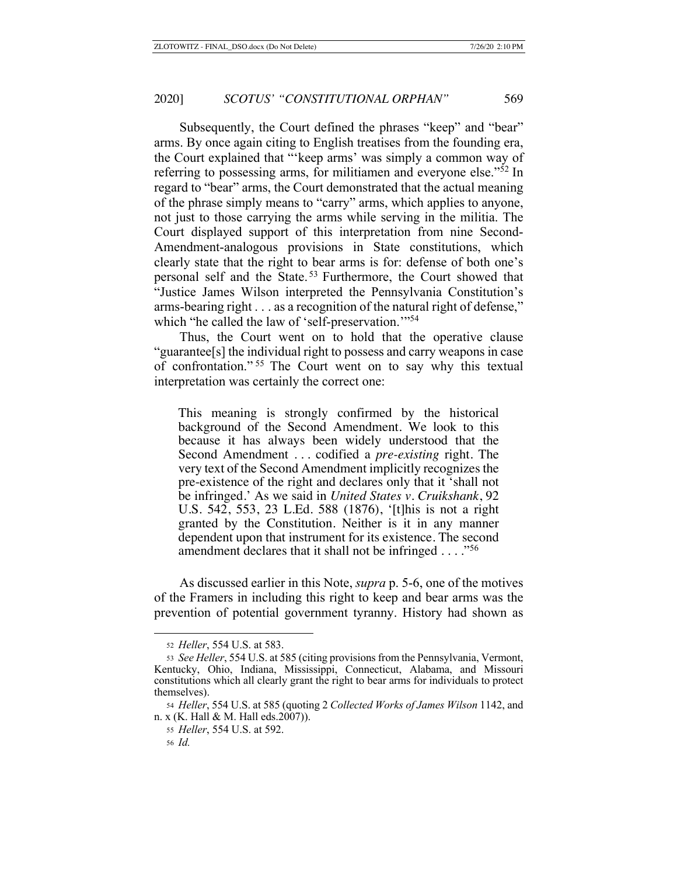Subsequently, the Court defined the phrases "keep" and "bear" arms. By once again citing to English treatises from the founding era, the Court explained that "'keep arms' was simply a common way of referring to possessing arms, for militiamen and everyone else."52 In regard to "bear" arms, the Court demonstrated that the actual meaning of the phrase simply means to "carry" arms, which applies to anyone, not just to those carrying the arms while serving in the militia. The Court displayed support of this interpretation from nine Second-Amendment-analogous provisions in State constitutions, which clearly state that the right to bear arms is for: defense of both one's personal self and the State. 53 Furthermore, the Court showed that "Justice James Wilson interpreted the Pennsylvania Constitution's arms-bearing right . . . as a recognition of the natural right of defense," which "he called the law of 'self-preservation."<sup>54</sup>

Thus, the Court went on to hold that the operative clause "guarantee[s] the individual right to possess and carry weapons in case of confrontation." 55 The Court went on to say why this textual interpretation was certainly the correct one:

This meaning is strongly confirmed by the historical background of the Second Amendment. We look to this because it has always been widely understood that the Second Amendment . . . codified a *pre-existing* right. The very text of the Second Amendment implicitly recognizes the pre-existence of the right and declares only that it 'shall not be infringed.' As we said in *United States v. Cruikshank*, 92 U.S. 542, 553, 23 L.Ed. 588 (1876), '[t]his is not a right granted by the Constitution. Neither is it in any manner dependent upon that instrument for its existence. The second amendment declares that it shall not be infringed  $\dots$ ."<sup>56</sup>

As discussed earlier in this Note, *supra* p. 5-6, one of the motives of the Framers in including this right to keep and bear arms was the prevention of potential government tyranny. History had shown as

<sup>52</sup> *Heller*, 554 U.S. at 583.

<sup>53</sup> *See Heller*, 554 U.S. at 585 (citing provisions from the Pennsylvania, Vermont, Kentucky, Ohio, Indiana, Mississippi, Connecticut, Alabama, and Missouri constitutions which all clearly grant the right to bear arms for individuals to protect themselves).

<sup>54</sup> *Heller*, 554 U.S. at 585 (quoting 2 *Collected Works of James Wilson* 1142, and n. x (K. Hall & M. Hall eds.2007)).

<sup>55</sup> *Heller*, 554 U.S. at 592.

<sup>56</sup> *Id.*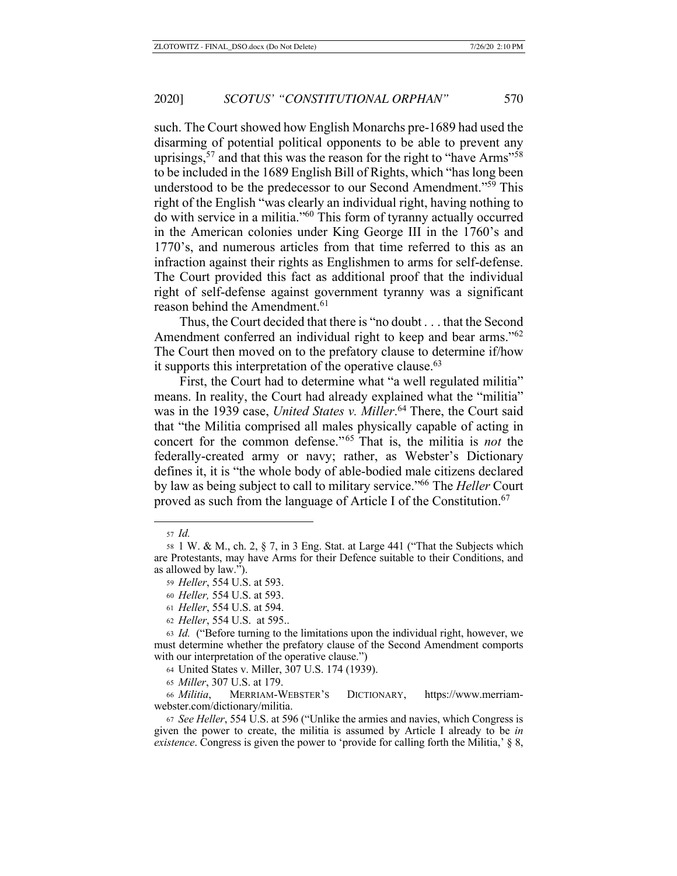such. The Court showed how English Monarchs pre-1689 had used the disarming of potential political opponents to be able to prevent any uprisings,  $57$  and that this was the reason for the right to "have Arms"<sup>58</sup> to be included in the 1689 English Bill of Rights, which "has long been understood to be the predecessor to our Second Amendment."59 This right of the English "was clearly an individual right, having nothing to do with service in a militia."60 This form of tyranny actually occurred in the American colonies under King George III in the 1760's and 1770's, and numerous articles from that time referred to this as an infraction against their rights as Englishmen to arms for self-defense. The Court provided this fact as additional proof that the individual right of self-defense against government tyranny was a significant reason behind the Amendment.<sup>61</sup>

Thus, the Court decided that there is "no doubt . . . that the Second Amendment conferred an individual right to keep and bear arms."<sup>62</sup> The Court then moved on to the prefatory clause to determine if/how it supports this interpretation of the operative clause. $63$ 

First, the Court had to determine what "a well regulated militia" means. In reality, the Court had already explained what the "militia" was in the 1939 case, *United States v. Miller*. 64 There, the Court said that "the Militia comprised all males physically capable of acting in concert for the common defense."65 That is, the militia is *not* the federally-created army or navy; rather, as Webster's Dictionary defines it, it is "the whole body of able-bodied male citizens declared by law as being subject to call to military service."66 The *Heller* Court proved as such from the language of Article I of the Constitution.<sup>67</sup>

<sup>66</sup> *Militia*, MERRIAM-WEBSTER'S DICTIONARY, https://www.merriamwebster.com/dictionary/militia.

<sup>57</sup> *Id.*

<sup>58</sup> 1 W. & M., ch. 2, § 7, in 3 Eng. Stat. at Large 441 ("That the Subjects which are Protestants, may have Arms for their Defence suitable to their Conditions, and as allowed by law.").

<sup>59</sup> *Heller*, 554 U.S. at 593.

<sup>60</sup> *Heller,* 554 U.S. at 593.

<sup>61</sup> *Heller*, 554 U.S. at 594.

<sup>62</sup> *Heller*, 554 U.S. at 595..

<sup>63</sup> *Id.* ("Before turning to the limitations upon the individual right, however, we must determine whether the prefatory clause of the Second Amendment comports with our interpretation of the operative clause.")

<sup>64</sup> United States v. Miller, 307 U.S. 174 (1939).

<sup>65</sup> *Miller*, 307 U.S. at 179.

<sup>67</sup> *See Heller*, 554 U.S. at 596 ("Unlike the armies and navies, which Congress is given the power to create, the militia is assumed by Article I already to be *in existence*. Congress is given the power to 'provide for calling forth the Militia,' § 8,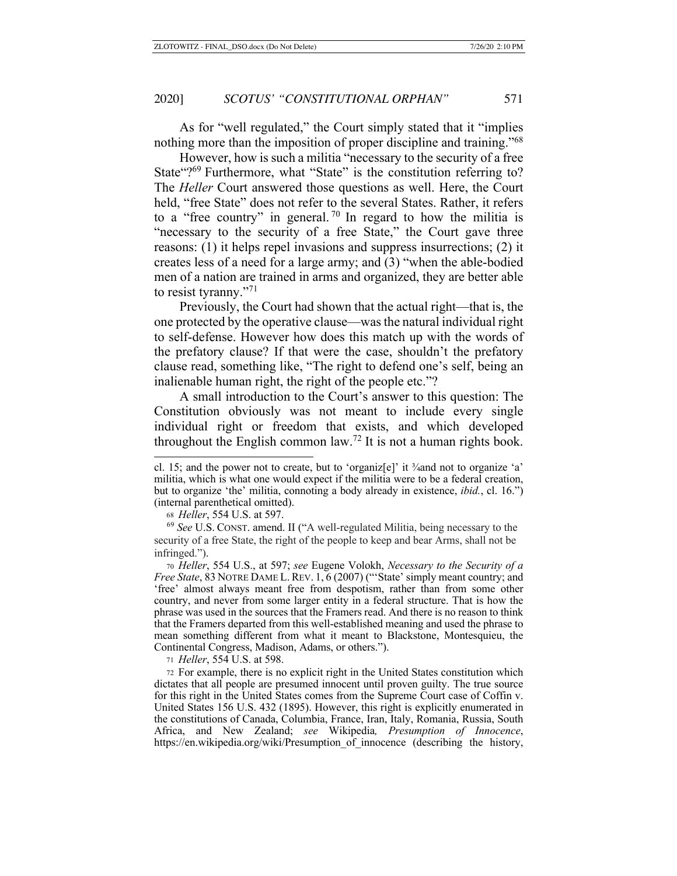As for "well regulated," the Court simply stated that it "implies nothing more than the imposition of proper discipline and training."<sup>68</sup>

However, how is such a militia "necessary to the security of a free State "?<sup>69</sup> Furthermore, what "State" is the constitution referring to? The *Heller* Court answered those questions as well. Here, the Court held, "free State" does not refer to the several States. Rather, it refers to a "free country" in general.<sup>70</sup> In regard to how the militia is "necessary to the security of a free State," the Court gave three reasons: (1) it helps repel invasions and suppress insurrections; (2) it creates less of a need for a large army; and (3) "when the able-bodied men of a nation are trained in arms and organized, they are better able to resist tyranny."71

Previously, the Court had shown that the actual right—that is, the one protected by the operative clause—was the natural individual right to self-defense. However how does this match up with the words of the prefatory clause? If that were the case, shouldn't the prefatory clause read, something like, "The right to defend one's self, being an inalienable human right, the right of the people etc."?

A small introduction to the Court's answer to this question: The Constitution obviously was not meant to include every single individual right or freedom that exists, and which developed throughout the English common law.<sup>72</sup> It is not a human rights book.

<sup>71</sup> *Heller*, 554 U.S. at 598.

<sup>72</sup> For example, there is no explicit right in the United States constitution which dictates that all people are presumed innocent until proven guilty. The true source for this right in the United States comes from the Supreme Court case of Coffin v. United States 156 U.S. 432 (1895). However, this right is explicitly enumerated in the constitutions of Canada, Columbia, France, Iran, Italy, Romania, Russia, South Africa, and New Zealand; *see* Wikipedia*, Presumption of Innocence*, https://en.wikipedia.org/wiki/Presumption\_of\_innocence (describing the history,

cl. 15; and the power not to create, but to 'organiz[e]' it ¾and not to organize 'a' militia, which is what one would expect if the militia were to be a federal creation, but to organize 'the' militia, connoting a body already in existence, *ibid.*, cl. 16.") (internal parenthetical omitted).

<sup>68</sup> *Heller*, 554 U.S. at 597.

<sup>69</sup> *See* U.S. CONST. amend. II ("A well-regulated Militia, being necessary to the security of a free State, the right of the people to keep and bear Arms, shall not be infringed.").

<sup>70</sup> *Heller*, 554 U.S., at 597; *see* Eugene Volokh, *Necessary to the Security of a Free State*, 83 NOTRE DAME L. REV. 1, 6 (2007) ("'State' simply meant country; and 'free' almost always meant free from despotism, rather than from some other country, and never from some larger entity in a federal structure. That is how the phrase was used in the sources that the Framers read. And there is no reason to think that the Framers departed from this well-established meaning and used the phrase to mean something different from what it meant to Blackstone, Montesquieu, the Continental Congress, Madison, Adams, or others.").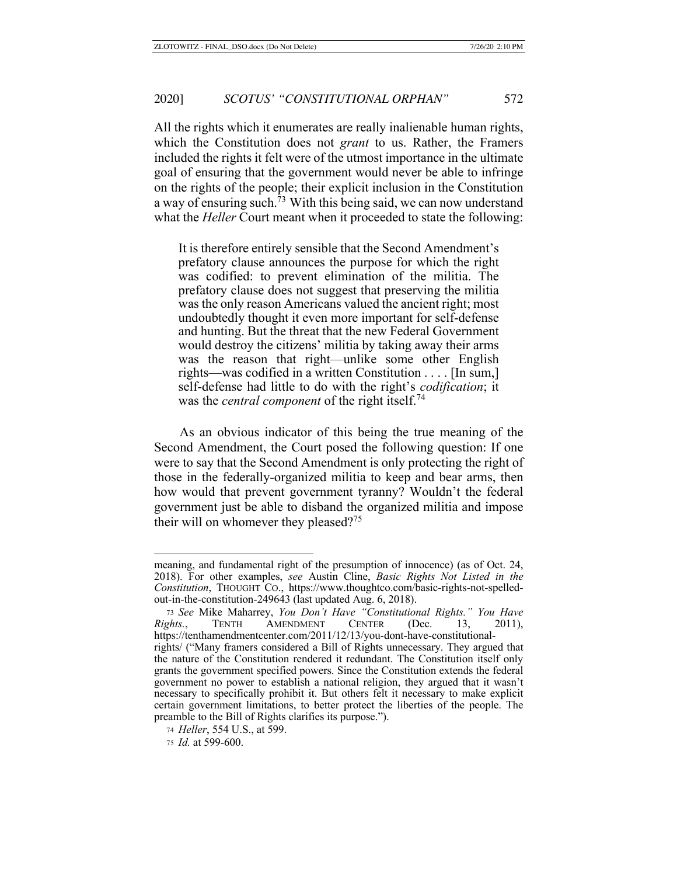All the rights which it enumerates are really inalienable human rights, which the Constitution does not *grant* to us. Rather, the Framers included the rights it felt were of the utmost importance in the ultimate goal of ensuring that the government would never be able to infringe on the rights of the people; their explicit inclusion in the Constitution a way of ensuring such.73 With this being said, we can now understand what the *Heller* Court meant when it proceeded to state the following:

It is therefore entirely sensible that the Second Amendment's prefatory clause announces the purpose for which the right was codified: to prevent elimination of the militia. The prefatory clause does not suggest that preserving the militia was the only reason Americans valued the ancient right; most undoubtedly thought it even more important for self-defense and hunting. But the threat that the new Federal Government would destroy the citizens' militia by taking away their arms was the reason that right—unlike some other English rights—was codified in a written Constitution . . . . [In sum,] self-defense had little to do with the right's *codification*; it was the *central component* of the right itself.74

As an obvious indicator of this being the true meaning of the Second Amendment, the Court posed the following question: If one were to say that the Second Amendment is only protecting the right of those in the federally-organized militia to keep and bear arms, then how would that prevent government tyranny? Wouldn't the federal government just be able to disband the organized militia and impose their will on whomever they pleased?<sup>75</sup>

meaning, and fundamental right of the presumption of innocence) (as of Oct. 24, 2018). For other examples, *see* Austin Cline, *Basic Rights Not Listed in the Constitution*, THOUGHT CO., https://www.thoughtco.com/basic-rights-not-spelledout-in-the-constitution-249643 (last updated Aug. 6, 2018).

<sup>73</sup> *See* Mike Maharrey, *You Don't Have "Constitutional Rights." You Have Rights.*, TENTH AMENDMENT CENTER (Dec. 13, 2011), https://tenthamendmentcenter.com/2011/12/13/you-dont-have-constitutionalrights/ ("Many framers considered a Bill of Rights unnecessary. They argued that the nature of the Constitution rendered it redundant. The Constitution itself only grants the government specified powers. Since the Constitution extends the federal government no power to establish a national religion, they argued that it wasn't necessary to specifically prohibit it. But others felt it necessary to make explicit certain government limitations, to better protect the liberties of the people. The preamble to the Bill of Rights clarifies its purpose.").

<sup>74</sup> *Heller*, 554 U.S., at 599.

<sup>75</sup> *Id.* at 599-600.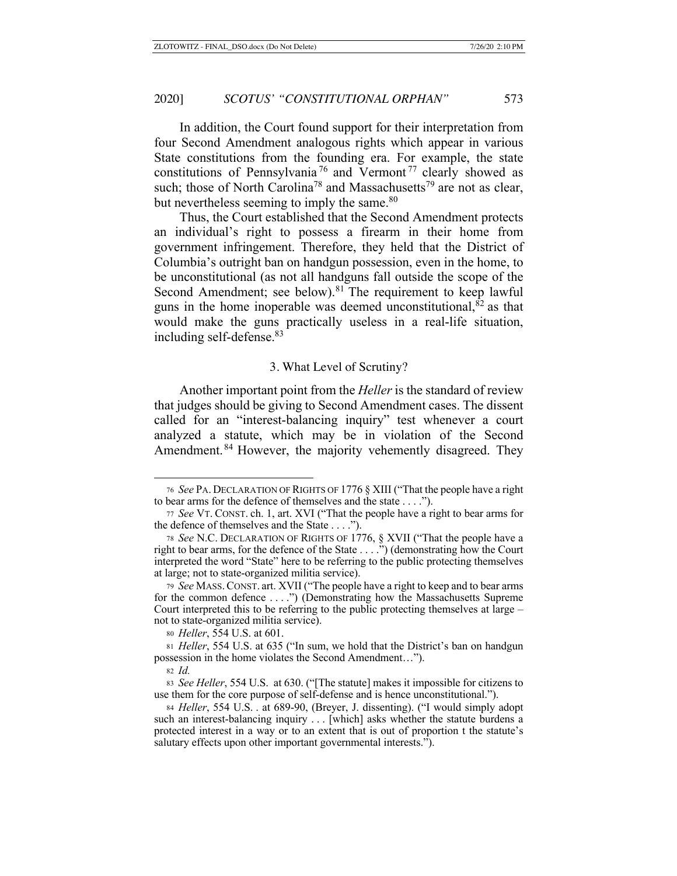In addition, the Court found support for their interpretation from four Second Amendment analogous rights which appear in various State constitutions from the founding era. For example, the state constitutions of Pennsylvania<sup>76</sup> and Vermont<sup>77</sup> clearly showed as such; those of North Carolina<sup>78</sup> and Massachusetts<sup>79</sup> are not as clear, but nevertheless seeming to imply the same.<sup>80</sup>

Thus, the Court established that the Second Amendment protects an individual's right to possess a firearm in their home from government infringement. Therefore, they held that the District of Columbia's outright ban on handgun possession, even in the home, to be unconstitutional (as not all handguns fall outside the scope of the Second Amendment; see below).<sup>81</sup> The requirement to keep lawful guns in the home inoperable was deemed unconstitutional, ${}^{82}$  as that would make the guns practically useless in a real-life situation, including self-defense.83

#### 3. What Level of Scrutiny?

Another important point from the *Heller* is the standard of review that judges should be giving to Second Amendment cases. The dissent called for an "interest-balancing inquiry" test whenever a court analyzed a statute, which may be in violation of the Second Amendment.<sup>84</sup> However, the majority vehemently disagreed. They

<sup>76</sup> *See* PA. DECLARATION OF RIGHTS OF 1776 § XIII ("That the people have a right to bear arms for the defence of themselves and the state . . . .").

<sup>77</sup> *See* VT. CONST. ch. 1, art. XVI ("That the people have a right to bear arms for the defence of themselves and the State . . . .").

<sup>78</sup> *See* N.C. DECLARATION OF RIGHTS OF 1776, § XVII ("That the people have a right to bear arms, for the defence of the State . . . .") (demonstrating how the Court interpreted the word "State" here to be referring to the public protecting themselves at large; not to state-organized militia service).

<sup>79</sup> *See* MASS.CONST. art. XVII ("The people have a right to keep and to bear arms for the common defence . . . .") (Demonstrating how the Massachusetts Supreme Court interpreted this to be referring to the public protecting themselves at large – not to state-organized militia service).

<sup>80</sup> *Heller*, 554 U.S. at 601.

<sup>81</sup> *Heller*, 554 U.S. at 635 ("In sum, we hold that the District's ban on handgun possession in the home violates the Second Amendment…").

<sup>82</sup> *Id.* 

<sup>83</sup> *See Heller*, 554 U.S. at 630. ("[The statute] makes it impossible for citizens to use them for the core purpose of self-defense and is hence unconstitutional.").

<sup>84</sup> *Heller*, 554 U.S. . at 689-90, (Breyer, J. dissenting). ("I would simply adopt such an interest-balancing inquiry . . . [which] asks whether the statute burdens a protected interest in a way or to an extent that is out of proportion t the statute's salutary effects upon other important governmental interests.").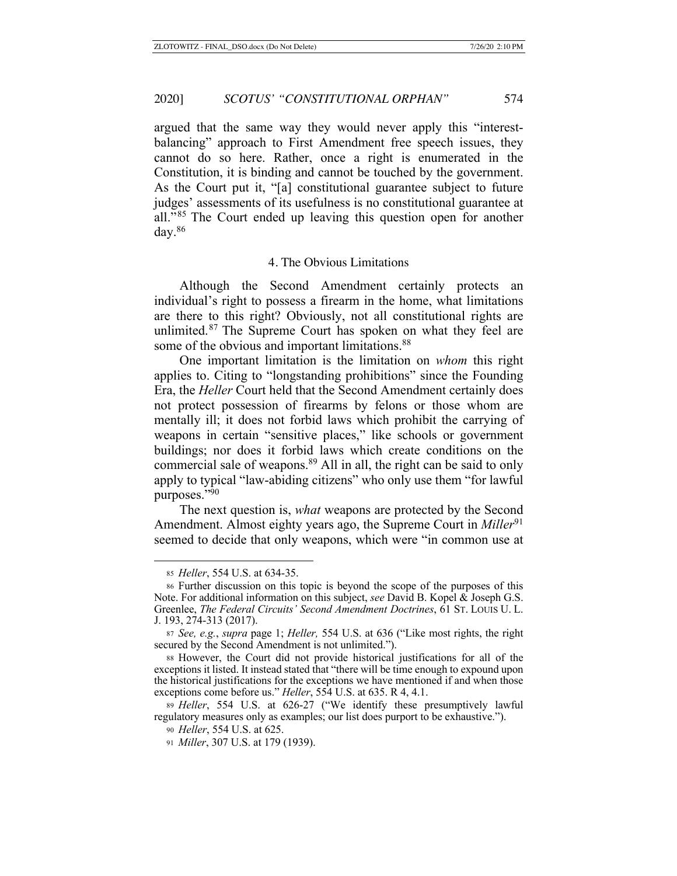argued that the same way they would never apply this "interestbalancing" approach to First Amendment free speech issues, they cannot do so here. Rather, once a right is enumerated in the Constitution, it is binding and cannot be touched by the government. As the Court put it, "[a] constitutional guarantee subject to future judges' assessments of its usefulness is no constitutional guarantee at all."85 The Court ended up leaving this question open for another day.86

### 4. The Obvious Limitations

Although the Second Amendment certainly protects an individual's right to possess a firearm in the home, what limitations are there to this right? Obviously, not all constitutional rights are unlimited.87 The Supreme Court has spoken on what they feel are some of the obvious and important limitations.<sup>88</sup>

One important limitation is the limitation on *whom* this right applies to. Citing to "longstanding prohibitions" since the Founding Era, the *Heller* Court held that the Second Amendment certainly does not protect possession of firearms by felons or those whom are mentally ill; it does not forbid laws which prohibit the carrying of weapons in certain "sensitive places," like schools or government buildings; nor does it forbid laws which create conditions on the commercial sale of weapons.89 All in all, the right can be said to only apply to typical "law-abiding citizens" who only use them "for lawful purposes."90

The next question is, *what* weapons are protected by the Second Amendment. Almost eighty years ago, the Supreme Court in *Miller*<sup>91</sup> seemed to decide that only weapons, which were "in common use at

<sup>85</sup> *Heller*, 554 U.S. at 634-35.

<sup>86</sup> Further discussion on this topic is beyond the scope of the purposes of this Note. For additional information on this subject, *see* David B. Kopel & Joseph G.S. Greenlee, *The Federal Circuits' Second Amendment Doctrines*, 61 ST. LOUIS U. L. J. 193, 274-313 (2017).

<sup>87</sup> *See, e.g.*, *supra* page 1; *Heller,* 554 U.S. at 636 ("Like most rights, the right secured by the Second Amendment is not unlimited.").

<sup>88</sup> However, the Court did not provide historical justifications for all of the exceptions it listed. It instead stated that "there will be time enough to expound upon the historical justifications for the exceptions we have mentioned if and when those exceptions come before us." *Heller*, 554 U.S. at 635. R 4, 4.1.

<sup>89</sup> *Heller*, 554 U.S. at 626-27 ("We identify these presumptively lawful regulatory measures only as examples; our list does purport to be exhaustive.").

<sup>90</sup> *Heller*, 554 U.S. at 625.

<sup>91</sup> *Miller*, 307 U.S. at 179 (1939).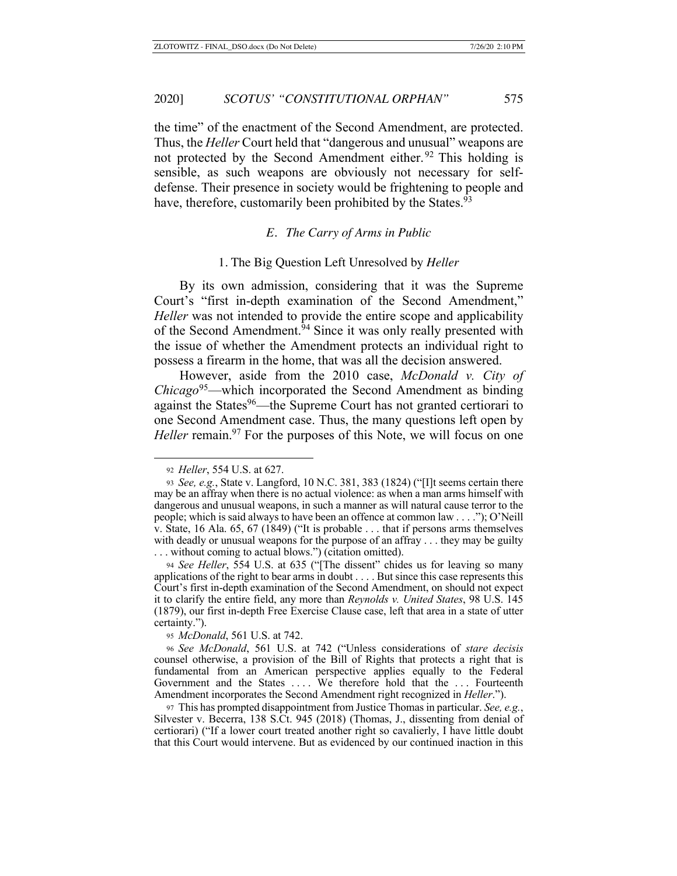the time" of the enactment of the Second Amendment, are protected. Thus, the *Heller* Court held that "dangerous and unusual" weapons are not protected by the Second Amendment either.<sup>92</sup> This holding is sensible, as such weapons are obviously not necessary for selfdefense. Their presence in society would be frightening to people and have, therefore, customarily been prohibited by the States.<sup>93</sup>

#### *E. The Carry of Arms in Public*

#### 1. The Big Question Left Unresolved by *Heller*

By its own admission, considering that it was the Supreme Court's "first in-depth examination of the Second Amendment," *Heller* was not intended to provide the entire scope and applicability of the Second Amendment.<sup>94</sup> Since it was only really presented with the issue of whether the Amendment protects an individual right to possess a firearm in the home, that was all the decision answered.

However, aside from the 2010 case, *McDonald v. City of Chicago*95—which incorporated the Second Amendment as binding against the States<sup>96</sup>—the Supreme Court has not granted certiorari to one Second Amendment case. Thus, the many questions left open by *Heller* remain.<sup>97</sup> For the purposes of this Note, we will focus on one

<sup>95</sup> *McDonald*, 561 U.S. at 742.

<sup>92</sup> *Heller*, 554 U.S. at 627.

<sup>93</sup> *See, e.g.*, State v. Langford, 10 N.C. 381, 383 (1824) ("[I]t seems certain there may be an affray when there is no actual violence: as when a man arms himself with dangerous and unusual weapons, in such a manner as will natural cause terror to the people; which is said always to have been an offence at common law . . . ."); O'Neill v. State, 16 Ala. 65, 67 (1849) ("It is probable . . . that if persons arms themselves with deadly or unusual weapons for the purpose of an affray . . . they may be guilty . . . without coming to actual blows.") (citation omitted).

<sup>94</sup> *See Heller*, 554 U.S. at 635 ("[The dissent" chides us for leaving so many applications of the right to bear arms in doubt . . . . But since this case represents this Court's first in-depth examination of the Second Amendment, on should not expect it to clarify the entire field, any more than *Reynolds v. United States*, 98 U.S. 145 (1879), our first in-depth Free Exercise Clause case, left that area in a state of utter certainty.").

<sup>96</sup> *See McDonald*, 561 U.S. at 742 ("Unless considerations of *stare decisis* counsel otherwise, a provision of the Bill of Rights that protects a right that is fundamental from an American perspective applies equally to the Federal Government and the States .... We therefore hold that the ... Fourteenth Amendment incorporates the Second Amendment right recognized in *Heller*.").

<sup>97</sup> This has prompted disappointment from Justice Thomas in particular. *See, e.g.*, Silvester v. Becerra, 138 S.Ct. 945 (2018) (Thomas, J., dissenting from denial of certiorari) ("If a lower court treated another right so cavalierly, I have little doubt that this Court would intervene. But as evidenced by our continued inaction in this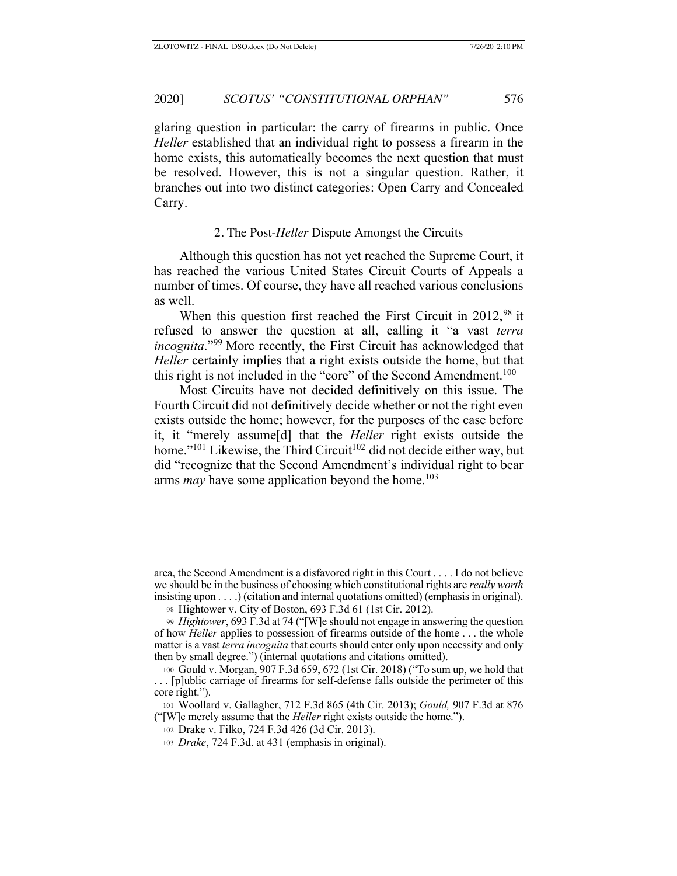glaring question in particular: the carry of firearms in public. Once *Heller* established that an individual right to possess a firearm in the home exists, this automatically becomes the next question that must be resolved. However, this is not a singular question. Rather, it branches out into two distinct categories: Open Carry and Concealed Carry.

#### 2. The Post-*Heller* Dispute Amongst the Circuits

Although this question has not yet reached the Supreme Court, it has reached the various United States Circuit Courts of Appeals a number of times. Of course, they have all reached various conclusions as well.

When this question first reached the First Circuit in 2012,<sup>98</sup> it refused to answer the question at all, calling it "a vast *terra incognita*."99 More recently, the First Circuit has acknowledged that *Heller* certainly implies that a right exists outside the home, but that this right is not included in the "core" of the Second Amendment.<sup>100</sup>

Most Circuits have not decided definitively on this issue. The Fourth Circuit did not definitively decide whether or not the right even exists outside the home; however, for the purposes of the case before it, it "merely assume[d] that the *Heller* right exists outside the home."<sup>101</sup> Likewise, the Third Circuit<sup>102</sup> did not decide either way, but did "recognize that the Second Amendment's individual right to bear arms *may* have some application beyond the home.<sup>103</sup>

area, the Second Amendment is a disfavored right in this Court . . . . I do not believe we should be in the business of choosing which constitutional rights are *really worth* insisting upon . . . .) (citation and internal quotations omitted) (emphasis in original).

<sup>98</sup> Hightower v. City of Boston, 693 F.3d 61 (1st Cir. 2012).

<sup>99</sup> *Hightower*, 693 F.3d at 74 ("[W]e should not engage in answering the question of how *Heller* applies to possession of firearms outside of the home . . . the whole matter is a vast *terra incognita* that courts should enter only upon necessity and only then by small degree.") (internal quotations and citations omitted).

<sup>100</sup> Gould v. Morgan, 907 F.3d 659, 672 (1st Cir. 2018) ("To sum up, we hold that . . . [p]ublic carriage of firearms for self-defense falls outside the perimeter of this core right.").

<sup>101</sup> Woollard v. Gallagher, 712 F.3d 865 (4th Cir. 2013); *Gould,* 907 F.3d at 876 ("[W]e merely assume that the *Heller* right exists outside the home.").

<sup>102</sup> Drake v. Filko, 724 F.3d 426 (3d Cir. 2013).

<sup>103</sup> *Drake*, 724 F.3d. at 431 (emphasis in original).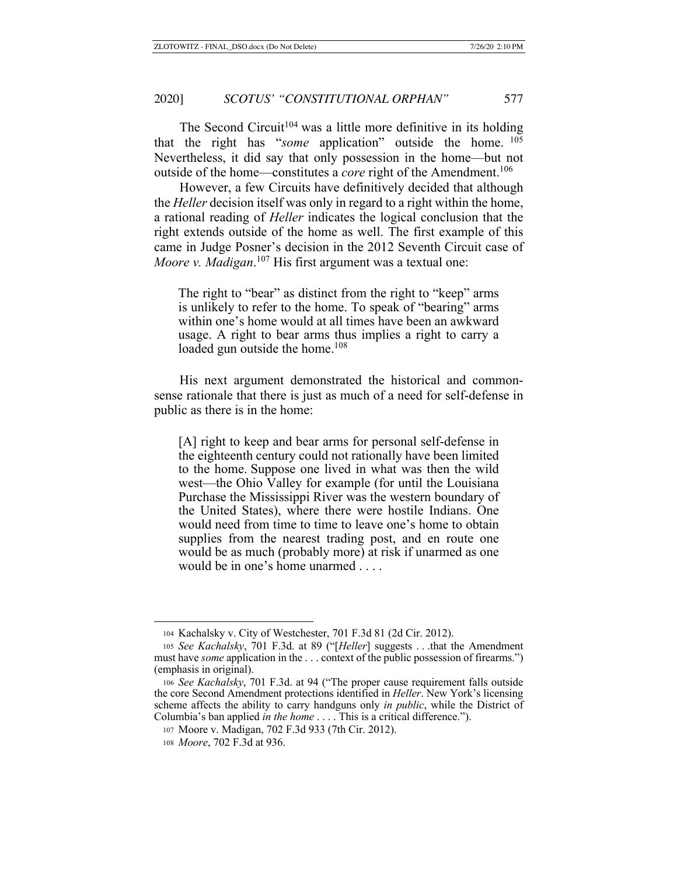The Second Circuit<sup>104</sup> was a little more definitive in its holding that the right has "*some* application" outside the home. <sup>105</sup> Nevertheless, it did say that only possession in the home—but not outside of the home—constitutes a *core* right of the Amendment.<sup>106</sup>

However, a few Circuits have definitively decided that although the *Heller* decision itself was only in regard to a right within the home, a rational reading of *Heller* indicates the logical conclusion that the right extends outside of the home as well. The first example of this came in Judge Posner's decision in the 2012 Seventh Circuit case of *Moore v. Madigan*. 107 His first argument was a textual one:

The right to "bear" as distinct from the right to "keep" arms is unlikely to refer to the home. To speak of "bearing" arms within one's home would at all times have been an awkward usage. A right to bear arms thus implies a right to carry a loaded gun outside the home.<sup>108</sup>

His next argument demonstrated the historical and commonsense rationale that there is just as much of a need for self-defense in public as there is in the home:

[A] right to keep and bear arms for personal self-defense in the eighteenth century could not rationally have been limited to the home. Suppose one lived in what was then the wild west—the Ohio Valley for example (for until the Louisiana Purchase the Mississippi River was the western boundary of the United States), where there were hostile Indians. One would need from time to time to leave one's home to obtain supplies from the nearest trading post, and en route one would be as much (probably more) at risk if unarmed as one would be in one's home unarmed . . . .

<sup>104</sup> Kachalsky v. City of Westchester, 701 F.3d 81 (2d Cir. 2012).

<sup>105</sup> *See Kachalsky*, 701 F.3d. at 89 ("[*Heller*] suggests . . .that the Amendment must have *some* application in the . . . context of the public possession of firearms.") (emphasis in original).

<sup>106</sup> *See Kachalsky*, 701 F.3d. at 94 ("The proper cause requirement falls outside the core Second Amendment protections identified in *Heller*. New York's licensing scheme affects the ability to carry handguns only *in public*, while the District of Columbia's ban applied *in the home* . . . . This is a critical difference.").

<sup>107</sup> Moore v. Madigan, 702 F.3d 933 (7th Cir. 2012).

<sup>108</sup> *Moore*, 702 F.3d at 936.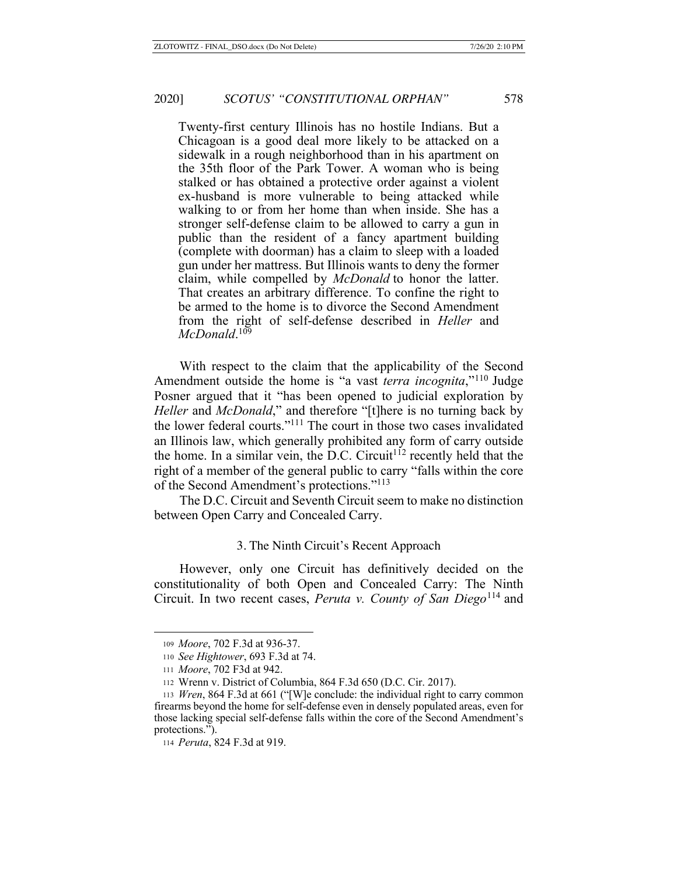Twenty-first century Illinois has no hostile Indians. But a Chicagoan is a good deal more likely to be attacked on a sidewalk in a rough neighborhood than in his apartment on the 35th floor of the Park Tower. A woman who is being stalked or has obtained a protective order against a violent ex-husband is more vulnerable to being attacked while walking to or from her home than when inside. She has a stronger self-defense claim to be allowed to carry a gun in public than the resident of a fancy apartment building (complete with doorman) has a claim to sleep with a loaded gun under her mattress. But Illinois wants to deny the former claim, while compelled by *McDonald* to honor the latter. That creates an arbitrary difference. To confine the right to be armed to the home is to divorce the Second Amendment from the right of self-defense described in *Heller* and *McDonald*. 109

With respect to the claim that the applicability of the Second Amendment outside the home is "a vast *terra incognita*,"110 Judge Posner argued that it "has been opened to judicial exploration by *Heller* and *McDonald*," and therefore "[t]here is no turning back by the lower federal courts."111 The court in those two cases invalidated an Illinois law, which generally prohibited any form of carry outside the home. In a similar vein, the D.C. Circuit<sup>112</sup> recently held that the right of a member of the general public to carry "falls within the core of the Second Amendment's protections."113

The D.C. Circuit and Seventh Circuit seem to make no distinction between Open Carry and Concealed Carry.

#### 3. The Ninth Circuit's Recent Approach

However, only one Circuit has definitively decided on the constitutionality of both Open and Concealed Carry: The Ninth Circuit. In two recent cases, *Peruta v. County of San Diego*<sup>114</sup> and

<sup>109</sup> *Moore*, 702 F.3d at 936-37.

<sup>110</sup> *See Hightower*, 693 F.3d at 74.

<sup>111</sup> *Moore*, 702 F3d at 942.

<sup>112</sup> Wrenn v. District of Columbia, 864 F.3d 650 (D.C. Cir. 2017).

<sup>113</sup> *Wren*, 864 F.3d at 661 ("[W]e conclude: the individual right to carry common firearms beyond the home for self-defense even in densely populated areas, even for those lacking special self-defense falls within the core of the Second Amendment's protections.").

<sup>114</sup> *Peruta*, 824 F.3d at 919.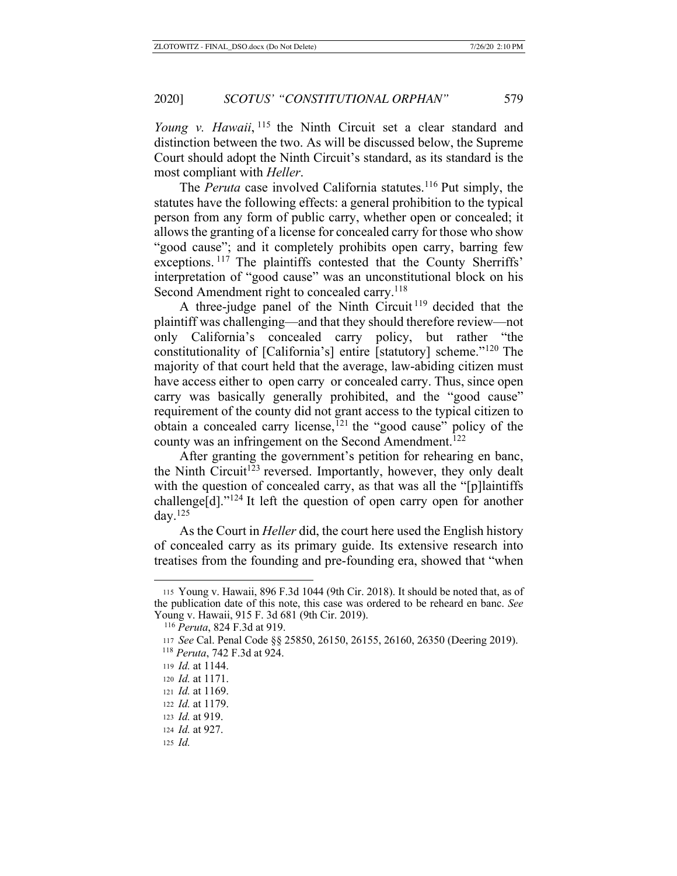*Young v. Hawaii*, <sup>115</sup> the Ninth Circuit set a clear standard and distinction between the two. As will be discussed below, the Supreme Court should adopt the Ninth Circuit's standard, as its standard is the most compliant with *Heller*.

The *Peruta* case involved California statutes.<sup>116</sup> Put simply, the statutes have the following effects: a general prohibition to the typical person from any form of public carry, whether open or concealed; it allows the granting of a license for concealed carry for those who show "good cause"; and it completely prohibits open carry, barring few exceptions. <sup>117</sup> The plaintiffs contested that the County Sherriffs' interpretation of "good cause" was an unconstitutional block on his Second Amendment right to concealed carry.<sup>118</sup>

A three-judge panel of the Ninth Circuit<sup>119</sup> decided that the plaintiff was challenging—and that they should therefore review—not only California's concealed carry policy, but rather "the constitutionality of [California's] entire [statutory] scheme."120 The majority of that court held that the average, law-abiding citizen must have access either to open carry or concealed carry. Thus, since open carry was basically generally prohibited, and the "good cause" requirement of the county did not grant access to the typical citizen to obtain a concealed carry license,<sup> $121$ </sup> the "good cause" policy of the county was an infringement on the Second Amendment.<sup>122</sup>

After granting the government's petition for rehearing en banc, the Ninth Circuit<sup>123</sup> reversed. Importantly, however, they only dealt with the question of concealed carry, as that was all the "[p]laintiffs challenge[d]."124 It left the question of open carry open for another day. $125$ 

As the Court in *Heller* did, the court here used the English history of concealed carry as its primary guide. Its extensive research into treatises from the founding and pre-founding era, showed that "when

<sup>115</sup> Young v. Hawaii, 896 F.3d 1044 (9th Cir. 2018). It should be noted that, as of the publication date of this note, this case was ordered to be reheard en banc. *See*  Young v. Hawaii, 915 F. 3d 681 (9th Cir. 2019).

<sup>116</sup> *Peruta*, 824 F.3d at 919.

<sup>117</sup> *See* Cal. Penal Code §§ 25850, 26150, 26155, 26160, 26350 (Deering 2019).

 <sup>118</sup> *Peruta*, 742 F.3d at 924.

<sup>119</sup> *Id.* at 1144.

<sup>120</sup> *Id.* at 1171.

<sup>121</sup> *Id.* at 1169.

<sup>122</sup> *Id.* at 1179.

<sup>123</sup> *Id.* at 919.

<sup>124</sup> *Id.* at 927.

<sup>125</sup> *Id.*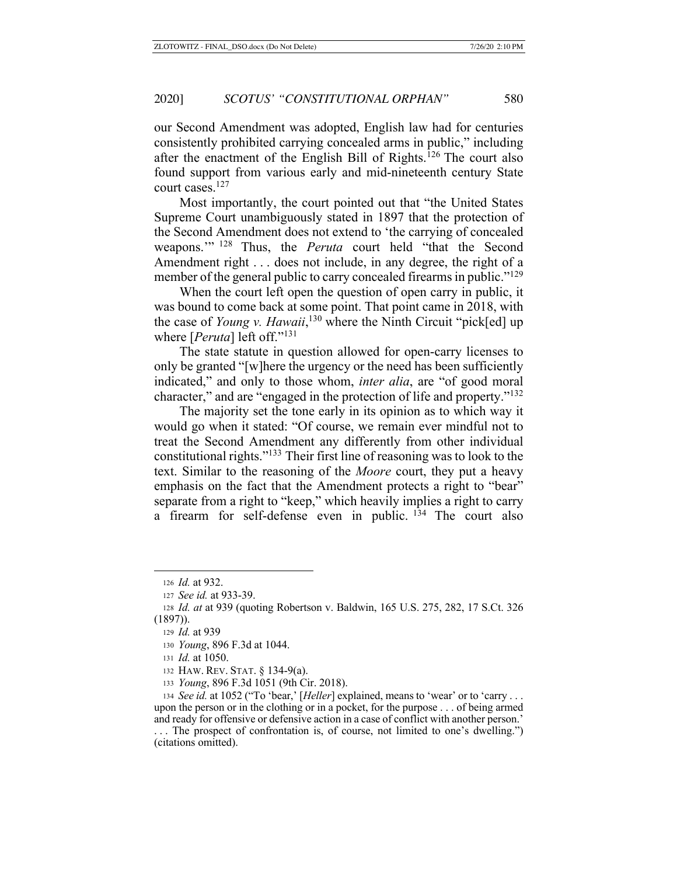our Second Amendment was adopted, English law had for centuries consistently prohibited carrying concealed arms in public," including after the enactment of the English Bill of Rights.126 The court also found support from various early and mid-nineteenth century State court cases.127

Most importantly, the court pointed out that "the United States Supreme Court unambiguously stated in 1897 that the protection of the Second Amendment does not extend to 'the carrying of concealed weapons.'" 128 Thus, the *Peruta* court held "that the Second Amendment right . . . does not include, in any degree, the right of a member of the general public to carry concealed firearms in public."<sup>129</sup>

When the court left open the question of open carry in public, it was bound to come back at some point. That point came in 2018, with the case of *Young v. Hawaii*, 130 where the Ninth Circuit "pick[ed] up where [*Peruta*] left off."131

The state statute in question allowed for open-carry licenses to only be granted "[w]here the urgency or the need has been sufficiently indicated," and only to those whom, *inter alia*, are "of good moral character," and are "engaged in the protection of life and property."132

The majority set the tone early in its opinion as to which way it would go when it stated: "Of course, we remain ever mindful not to treat the Second Amendment any differently from other individual constitutional rights."133 Their first line of reasoning was to look to the text. Similar to the reasoning of the *Moore* court, they put a heavy emphasis on the fact that the Amendment protects a right to "bear" separate from a right to "keep," which heavily implies a right to carry a firearm for self-defense even in public.  $134$  The court also

<sup>126</sup> *Id.* at 932.

<sup>127</sup> *See id.* at 933-39.

<sup>128</sup> *Id. at* at 939 (quoting Robertson v. Baldwin, 165 U.S. 275, 282, 17 S.Ct. 326 (1897)).

<sup>129</sup> *Id.* at 939

<sup>130</sup> *Young*, 896 F.3d at 1044.

<sup>131</sup> *Id.* at 1050.

<sup>132</sup> HAW. REV. STAT. § 134-9(a).

<sup>133</sup> *Young*, 896 F.3d 1051 (9th Cir. 2018).

<sup>134</sup> *See id.* at 1052 ("To 'bear,' [*Heller*] explained, means to 'wear' or to 'carry . . . upon the person or in the clothing or in a pocket, for the purpose . . . of being armed and ready for offensive or defensive action in a case of conflict with another person.'

<sup>. . .</sup> The prospect of confrontation is, of course, not limited to one's dwelling.") (citations omitted).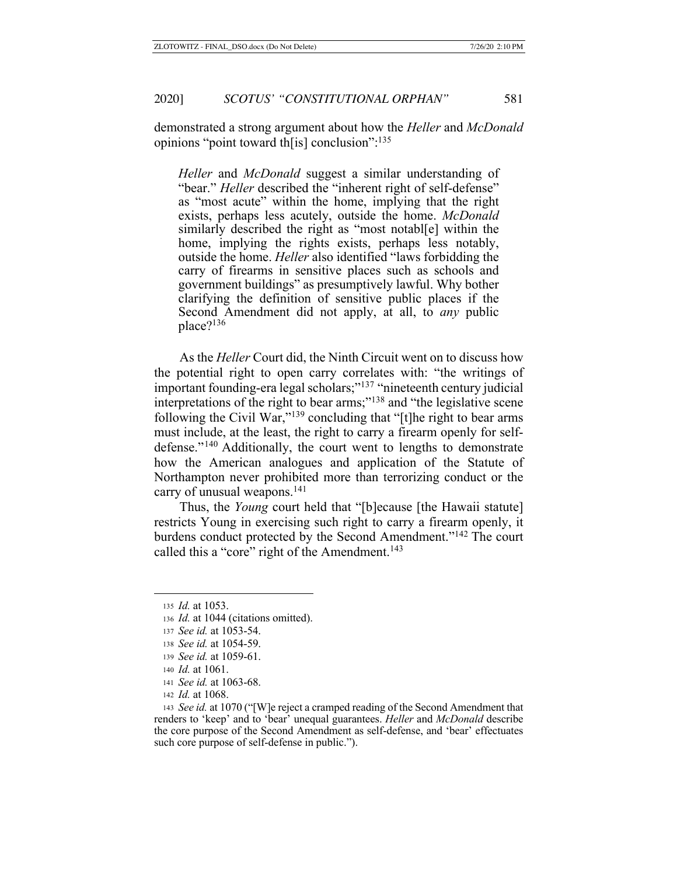demonstrated a strong argument about how the *Heller* and *McDonald* opinions "point toward th[is] conclusion":135

*Heller* and *McDonald* suggest a similar understanding of "bear." *Heller* described the "inherent right of self-defense" as "most acute" within the home, implying that the right exists, perhaps less acutely, outside the home. *McDonald* similarly described the right as "most notabl[e] within the home, implying the rights exists, perhaps less notably, outside the home. *Heller* also identified "laws forbidding the carry of firearms in sensitive places such as schools and government buildings" as presumptively lawful. Why bother clarifying the definition of sensitive public places if the Second Amendment did not apply, at all, to *any* public place?<sup>136</sup>

As the *Heller* Court did, the Ninth Circuit went on to discuss how the potential right to open carry correlates with: "the writings of important founding-era legal scholars;"<sup>137</sup> "nineteenth century judicial interpretations of the right to bear arms;"<sup>138</sup> and "the legislative scene" following the Civil War,"139 concluding that "[t]he right to bear arms must include, at the least, the right to carry a firearm openly for selfdefense."140 Additionally, the court went to lengths to demonstrate how the American analogues and application of the Statute of Northampton never prohibited more than terrorizing conduct or the carry of unusual weapons.<sup>141</sup>

Thus, the *Young* court held that "[b]ecause [the Hawaii statute] restricts Young in exercising such right to carry a firearm openly, it burdens conduct protected by the Second Amendment."142 The court called this a "core" right of the Amendment.<sup>143</sup>

<sup>135</sup> *Id.* at 1053.

<sup>136</sup> *Id.* at 1044 (citations omitted).

<sup>137</sup> *See id.* at 1053-54.

<sup>138</sup> *See id.* at 1054-59.

<sup>139</sup> *See id.* at 1059-61.

<sup>140</sup> *Id.* at 1061.

<sup>141</sup> *See id.* at 1063-68.

<sup>142</sup> *Id.* at 1068.

<sup>143</sup> *See id.* at 1070 ("[W]e reject a cramped reading of the Second Amendment that renders to 'keep' and to 'bear' unequal guarantees. *Heller* and *McDonald* describe the core purpose of the Second Amendment as self-defense, and 'bear' effectuates such core purpose of self-defense in public.").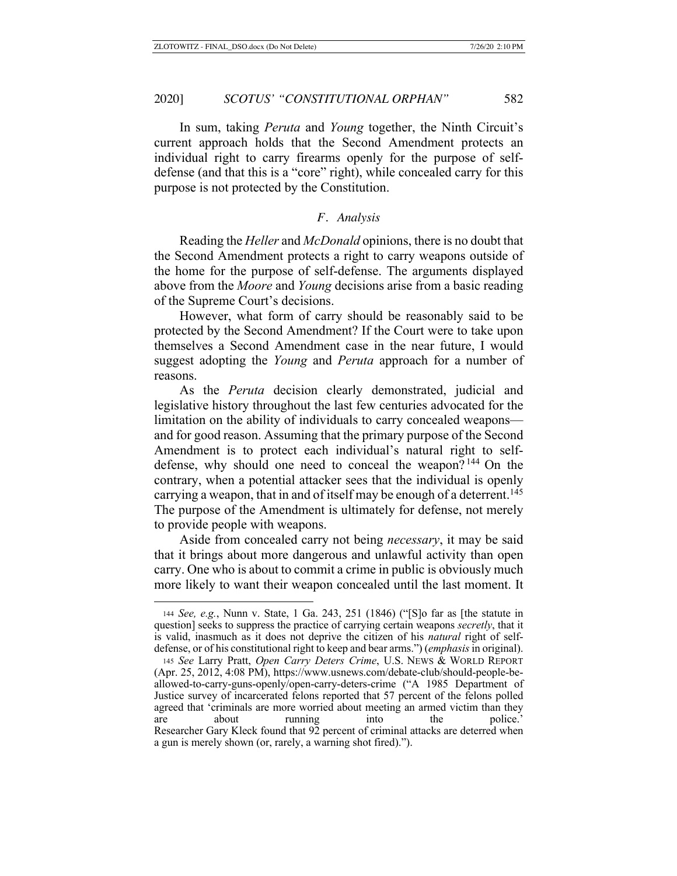In sum, taking *Peruta* and *Young* together, the Ninth Circuit's current approach holds that the Second Amendment protects an individual right to carry firearms openly for the purpose of selfdefense (and that this is a "core" right), while concealed carry for this purpose is not protected by the Constitution.

### *F. Analysis*

Reading the *Heller* and *McDonald* opinions, there is no doubt that the Second Amendment protects a right to carry weapons outside of the home for the purpose of self-defense. The arguments displayed above from the *Moore* and *Young* decisions arise from a basic reading of the Supreme Court's decisions.

However, what form of carry should be reasonably said to be protected by the Second Amendment? If the Court were to take upon themselves a Second Amendment case in the near future, I would suggest adopting the *Young* and *Peruta* approach for a number of reasons.

As the *Peruta* decision clearly demonstrated, judicial and legislative history throughout the last few centuries advocated for the limitation on the ability of individuals to carry concealed weapons and for good reason. Assuming that the primary purpose of the Second Amendment is to protect each individual's natural right to selfdefense, why should one need to conceal the weapon? 144 On the contrary, when a potential attacker sees that the individual is openly carrying a weapon, that in and of itself may be enough of a deterrent.<sup>145</sup> The purpose of the Amendment is ultimately for defense, not merely to provide people with weapons.

Aside from concealed carry not being *necessary*, it may be said that it brings about more dangerous and unlawful activity than open carry. One who is about to commit a crime in public is obviously much more likely to want their weapon concealed until the last moment. It

<sup>144</sup> *See, e.g.*, Nunn v. State, 1 Ga. 243, 251 (1846) ("[S]o far as [the statute in question] seeks to suppress the practice of carrying certain weapons *secretly*, that it is valid, inasmuch as it does not deprive the citizen of his *natural* right of selfdefense, or of his constitutional right to keep and bear arms.") (*emphasis* in original).

<sup>145</sup> *See* Larry Pratt, *Open Carry Deters Crime*, U.S. NEWS & WORLD REPORT (Apr. 25, 2012, 4:08 PM), https://www.usnews.com/debate-club/should-people-beallowed-to-carry-guns-openly/open-carry-deters-crime ("A 1985 Department of Justice survey of incarcerated felons reported that 57 percent of the felons polled agreed that 'criminals are more worried about meeting an armed victim than they are about running into the police.' Researcher Gary Kleck found that 92 percent of criminal attacks are deterred when a gun is merely shown (or, rarely, a warning shot fired).").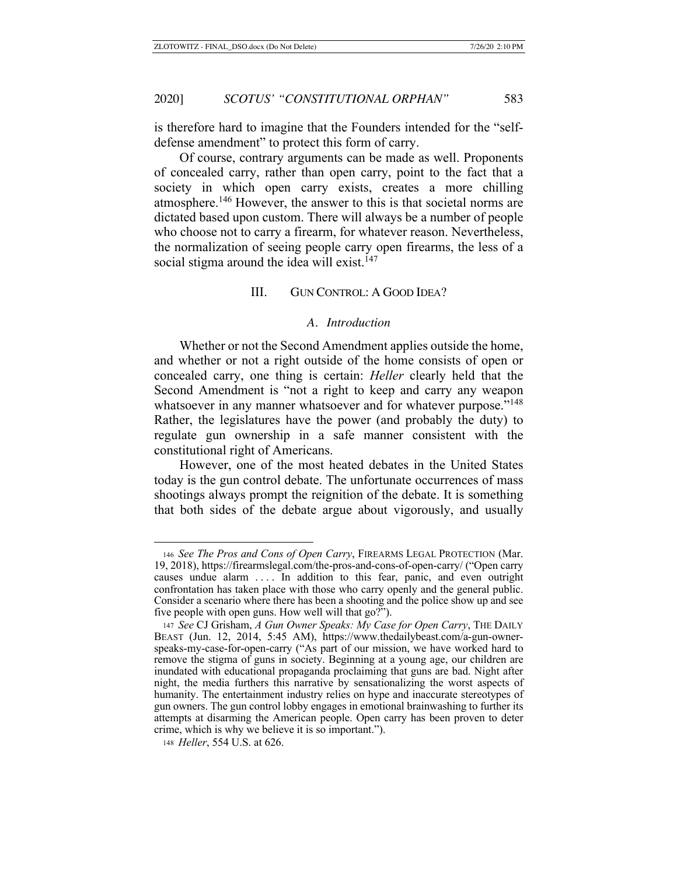is therefore hard to imagine that the Founders intended for the "selfdefense amendment" to protect this form of carry.

Of course, contrary arguments can be made as well. Proponents of concealed carry, rather than open carry, point to the fact that a society in which open carry exists, creates a more chilling atmosphere.146 However, the answer to this is that societal norms are dictated based upon custom. There will always be a number of people who choose not to carry a firearm, for whatever reason. Nevertheless, the normalization of seeing people carry open firearms, the less of a social stigma around the idea will exist.<sup>147</sup>

### III. GUN CONTROL: A GOOD IDEA?

### *A. Introduction*

Whether or not the Second Amendment applies outside the home, and whether or not a right outside of the home consists of open or concealed carry, one thing is certain: *Heller* clearly held that the Second Amendment is "not a right to keep and carry any weapon whatsoever in any manner whatsoever and for whatever purpose."<sup>148</sup> Rather, the legislatures have the power (and probably the duty) to regulate gun ownership in a safe manner consistent with the constitutional right of Americans.

However, one of the most heated debates in the United States today is the gun control debate. The unfortunate occurrences of mass shootings always prompt the reignition of the debate. It is something that both sides of the debate argue about vigorously, and usually

<sup>146</sup> *See The Pros and Cons of Open Carry*, FIREARMS LEGAL PROTECTION (Mar. 19, 2018), https://firearmslegal.com/the-pros-and-cons-of-open-carry/ ("Open carry causes undue alarm .... In addition to this fear, panic, and even outright confrontation has taken place with those who carry openly and the general public. Consider a scenario where there has been a shooting and the police show up and see five people with open guns. How well will that go?").

<sup>147</sup> *See* CJ Grisham, *A Gun Owner Speaks: My Case for Open Carry*, THE DAILY BEAST (Jun. 12, 2014, 5:45 AM), https://www.thedailybeast.com/a-gun-ownerspeaks-my-case-for-open-carry ("As part of our mission, we have worked hard to remove the stigma of guns in society. Beginning at a young age, our children are inundated with educational propaganda proclaiming that guns are bad. Night after night, the media furthers this narrative by sensationalizing the worst aspects of humanity. The entertainment industry relies on hype and inaccurate stereotypes of gun owners. The gun control lobby engages in emotional brainwashing to further its attempts at disarming the American people. Open carry has been proven to deter crime, which is why we believe it is so important.").

<sup>148</sup> *Heller*, 554 U.S. at 626.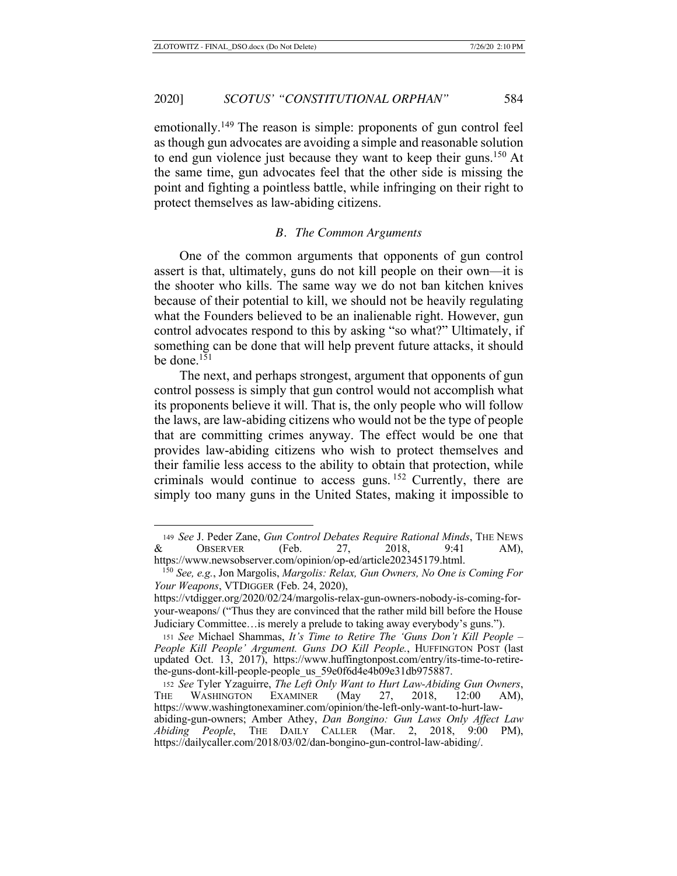emotionally.149 The reason is simple: proponents of gun control feel as though gun advocates are avoiding a simple and reasonable solution to end gun violence just because they want to keep their guns.<sup>150</sup> At the same time, gun advocates feel that the other side is missing the point and fighting a pointless battle, while infringing on their right to protect themselves as law-abiding citizens.

#### *B. The Common Arguments*

One of the common arguments that opponents of gun control assert is that, ultimately, guns do not kill people on their own—it is the shooter who kills. The same way we do not ban kitchen knives because of their potential to kill, we should not be heavily regulating what the Founders believed to be an inalienable right. However, gun control advocates respond to this by asking "so what?" Ultimately, if something can be done that will help prevent future attacks, it should be done.<sup>151</sup>

The next, and perhaps strongest, argument that opponents of gun control possess is simply that gun control would not accomplish what its proponents believe it will. That is, the only people who will follow the laws, are law-abiding citizens who would not be the type of people that are committing crimes anyway. The effect would be one that provides law-abiding citizens who wish to protect themselves and their familie less access to the ability to obtain that protection, while criminals would continue to access guns. 152 Currently, there are simply too many guns in the United States, making it impossible to

<sup>149</sup> *See* J. Peder Zane, *Gun Control Debates Require Rational Minds*, THE NEWS & OBSERVER (Feb. 27, 2018, 9:41 AM), https://www.newsobserver.com/opinion/op-ed/article202345179.html.

 <sup>150</sup> *See, e.g.*, Jon Margolis, *Margolis: Relax, Gun Owners, No One is Coming For Your Weapons*, VTDIGGER (Feb. 24, 2020),

https://vtdigger.org/2020/02/24/margolis-relax-gun-owners-nobody-is-coming-foryour-weapons/ ("Thus they are convinced that the rather mild bill before the House Judiciary Committee…is merely a prelude to taking away everybody's guns.").

<sup>151</sup> *See* Michael Shammas, *It's Time to Retire The 'Guns Don't Kill People – People Kill People' Argument. Guns DO Kill People.*, HUFFINGTON POST (last updated Oct. 13, 2017), https://www.huffingtonpost.com/entry/its-time-to-retirethe-guns-dont-kill-people-people us 59e0f6d4e4b09e31db975887.

<sup>152</sup> *See* Tyler Yzaguirre, *The Left Only Want to Hurt Law-Abiding Gun Owners*, THE WASHINGTON EXAMINER (May 27, 2018, 12:00 AM), https://www.washingtonexaminer.com/opinion/the-left-only-want-to-hurt-lawabiding-gun-owners; Amber Athey, *Dan Bongino: Gun Laws Only Affect Law Abiding People*, THE DAILY CALLER (Mar. 2, 2018, 9:00 PM), https://dailycaller.com/2018/03/02/dan-bongino-gun-control-law-abiding/.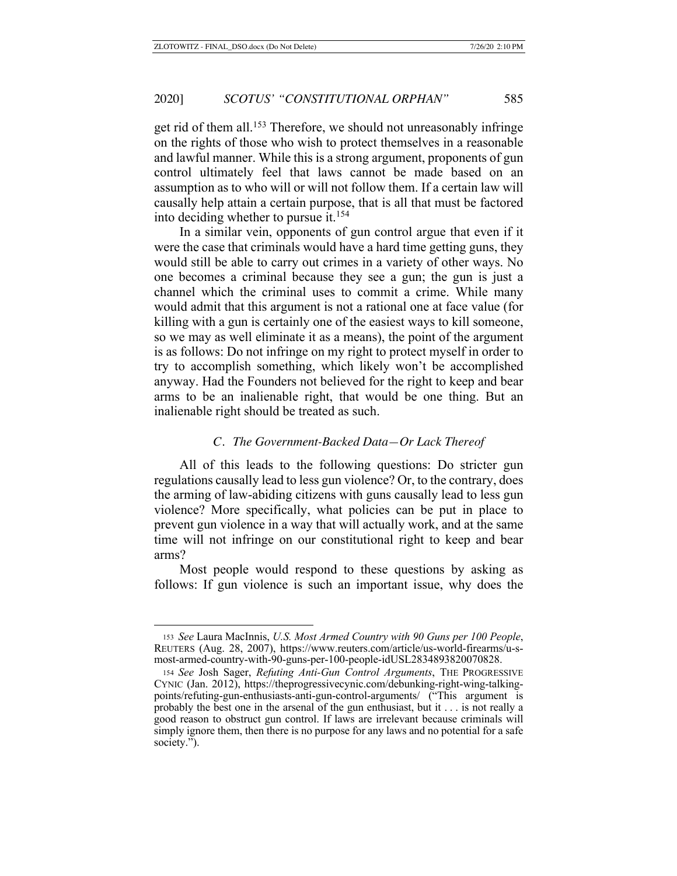get rid of them all.153 Therefore, we should not unreasonably infringe on the rights of those who wish to protect themselves in a reasonable and lawful manner. While this is a strong argument, proponents of gun control ultimately feel that laws cannot be made based on an assumption as to who will or will not follow them. If a certain law will causally help attain a certain purpose, that is all that must be factored into deciding whether to pursue it.<sup>154</sup>

In a similar vein, opponents of gun control argue that even if it were the case that criminals would have a hard time getting guns, they would still be able to carry out crimes in a variety of other ways. No one becomes a criminal because they see a gun; the gun is just a channel which the criminal uses to commit a crime. While many would admit that this argument is not a rational one at face value (for killing with a gun is certainly one of the easiest ways to kill someone, so we may as well eliminate it as a means), the point of the argument is as follows: Do not infringe on my right to protect myself in order to try to accomplish something, which likely won't be accomplished anyway. Had the Founders not believed for the right to keep and bear arms to be an inalienable right, that would be one thing. But an inalienable right should be treated as such.

#### *C. The Government-Backed Data—Or Lack Thereof*

All of this leads to the following questions: Do stricter gun regulations causally lead to less gun violence? Or, to the contrary, does the arming of law-abiding citizens with guns causally lead to less gun violence? More specifically, what policies can be put in place to prevent gun violence in a way that will actually work, and at the same time will not infringe on our constitutional right to keep and bear arms?

Most people would respond to these questions by asking as follows: If gun violence is such an important issue, why does the

<sup>153</sup> *See* Laura MacInnis, *U.S. Most Armed Country with 90 Guns per 100 People*, REUTERS (Aug. 28, 2007), https://www.reuters.com/article/us-world-firearms/u-smost-armed-country-with-90-guns-per-100-people-idUSL2834893820070828.

<sup>154</sup> *See* Josh Sager, *Refuting Anti-Gun Control Arguments*, THE PROGRESSIVE CYNIC (Jan. 2012), https://theprogressivecynic.com/debunking-right-wing-talkingpoints/refuting-gun-enthusiasts-anti-gun-control-arguments/ ("This argument is probably the best one in the arsenal of the gun enthusiast, but it . . . is not really a good reason to obstruct gun control. If laws are irrelevant because criminals will simply ignore them, then there is no purpose for any laws and no potential for a safe society.").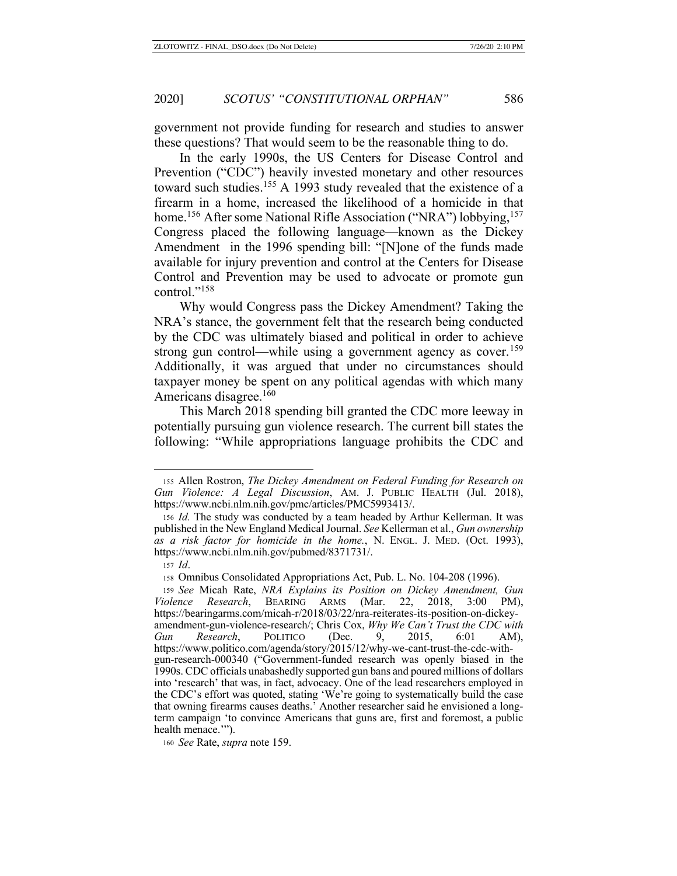government not provide funding for research and studies to answer these questions? That would seem to be the reasonable thing to do.

In the early 1990s, the US Centers for Disease Control and Prevention ("CDC") heavily invested monetary and other resources toward such studies.<sup>155</sup> A 1993 study revealed that the existence of a firearm in a home, increased the likelihood of a homicide in that home.<sup>156</sup> After some National Rifle Association ("NRA") lobbying,<sup>157</sup> Congress placed the following language—known as the Dickey Amendment in the 1996 spending bill: "[N]one of the funds made available for injury prevention and control at the Centers for Disease Control and Prevention may be used to advocate or promote gun control."<sup>158</sup>

Why would Congress pass the Dickey Amendment? Taking the NRA's stance, the government felt that the research being conducted by the CDC was ultimately biased and political in order to achieve strong gun control—while using a government agency as cover.<sup>159</sup> Additionally, it was argued that under no circumstances should taxpayer money be spent on any political agendas with which many Americans disagree.<sup>160</sup>

This March 2018 spending bill granted the CDC more leeway in potentially pursuing gun violence research. The current bill states the following: "While appropriations language prohibits the CDC and

<sup>155</sup> Allen Rostron, *The Dickey Amendment on Federal Funding for Research on Gun Violence: A Legal Discussion*, AM. J. PUBLIC HEALTH (Jul. 2018), https://www.ncbi.nlm.nih.gov/pmc/articles/PMC5993413/.

<sup>156</sup> *Id.* The study was conducted by a team headed by Arthur Kellerman. It was published in the New England Medical Journal. *See* Kellerman et al., *Gun ownership as a risk factor for homicide in the home.*, N. ENGL. J. MED. (Oct. 1993), https://www.ncbi.nlm.nih.gov/pubmed/8371731/.

<sup>157</sup> *Id*.

<sup>158</sup> Omnibus Consolidated Appropriations Act, Pub. L. No. 104-208 (1996).

<sup>159</sup> *See* Micah Rate, *NRA Explains its Position on Dickey Amendment, Gun Violence Research*, BEARING ARMS (Mar. 22, 2018, 3:00 PM), https://bearingarms.com/micah-r/2018/03/22/nra-reiterates-its-position-on-dickeyamendment-gun-violence-research/; Chris Cox, *Why We Can't Trust the CDC with Gun Research*, POLITICO (Dec. 9, 2015, 6:01 AM), https://www.politico.com/agenda/story/2015/12/why-we-cant-trust-the-cdc-withgun-research-000340 ("Government-funded research was openly biased in the 1990s. CDC officials unabashedly supported gun bans and poured millions of dollars into 'research' that was, in fact, advocacy. One of the lead researchers employed in the CDC's effort was quoted, stating 'We're going to systematically build the case that owning firearms causes deaths.' Another researcher said he envisioned a longterm campaign 'to convince Americans that guns are, first and foremost, a public health menace.'").

<sup>160</sup> *See* Rate, *supra* note 159.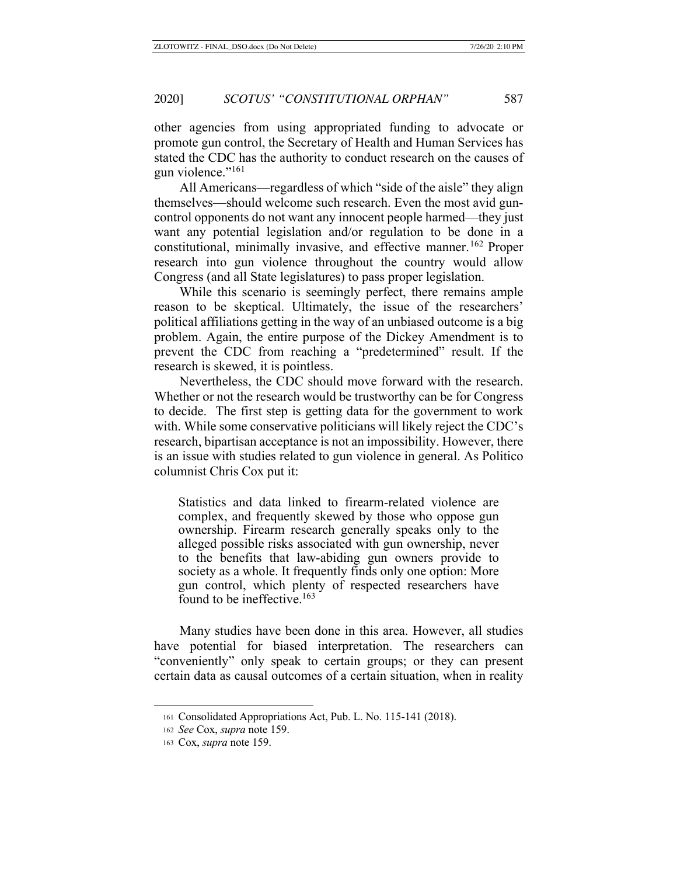other agencies from using appropriated funding to advocate or promote gun control, the Secretary of Health and Human Services has stated the CDC has the authority to conduct research on the causes of gun violence."<sup>161</sup>

All Americans—regardless of which "side of the aisle" they align themselves—should welcome such research. Even the most avid guncontrol opponents do not want any innocent people harmed—they just want any potential legislation and/or regulation to be done in a constitutional, minimally invasive, and effective manner.<sup>162</sup> Proper research into gun violence throughout the country would allow Congress (and all State legislatures) to pass proper legislation.

While this scenario is seemingly perfect, there remains ample reason to be skeptical. Ultimately, the issue of the researchers' political affiliations getting in the way of an unbiased outcome is a big problem. Again, the entire purpose of the Dickey Amendment is to prevent the CDC from reaching a "predetermined" result. If the research is skewed, it is pointless.

Nevertheless, the CDC should move forward with the research. Whether or not the research would be trustworthy can be for Congress to decide. The first step is getting data for the government to work with. While some conservative politicians will likely reject the CDC's research, bipartisan acceptance is not an impossibility. However, there is an issue with studies related to gun violence in general. As Politico columnist Chris Cox put it:

Statistics and data linked to firearm-related violence are complex, and frequently skewed by those who oppose gun ownership. Firearm research generally speaks only to the alleged possible risks associated with gun ownership, never to the benefits that law-abiding gun owners provide to society as a whole. It frequently finds only one option: More gun control, which plenty of respected researchers have found to be ineffective.<sup>163</sup>

Many studies have been done in this area. However, all studies have potential for biased interpretation. The researchers can "conveniently" only speak to certain groups; or they can present certain data as causal outcomes of a certain situation, when in reality

<sup>161</sup> Consolidated Appropriations Act, Pub. L. No. 115-141 (2018).

<sup>162</sup> *See* Cox, *supra* note 159.

<sup>163</sup> Cox, *supra* note 159.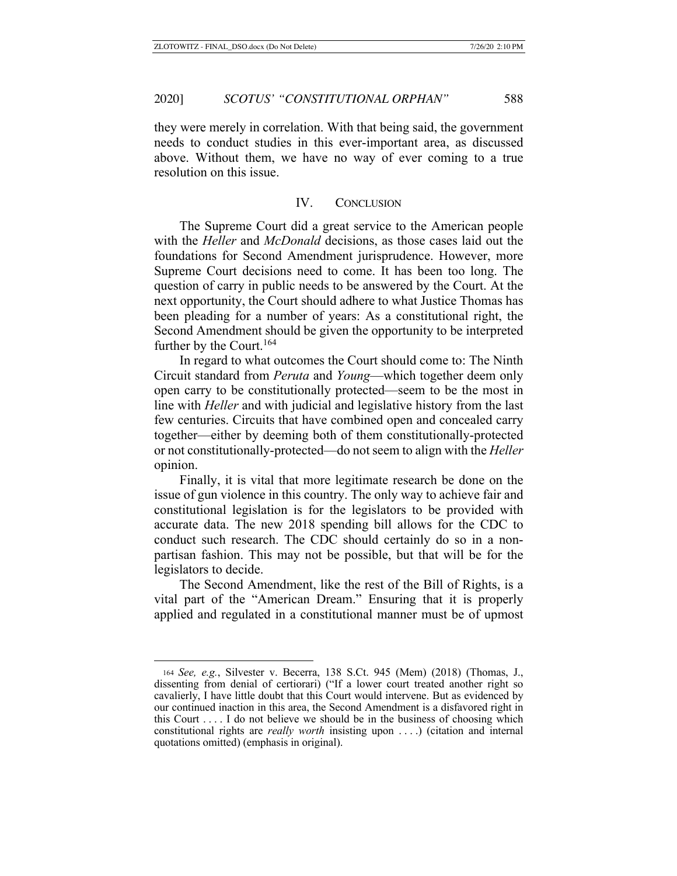they were merely in correlation. With that being said, the government needs to conduct studies in this ever-important area, as discussed above. Without them, we have no way of ever coming to a true resolution on this issue.

### IV. CONCLUSION

The Supreme Court did a great service to the American people with the *Heller* and *McDonald* decisions, as those cases laid out the foundations for Second Amendment jurisprudence. However, more Supreme Court decisions need to come. It has been too long. The question of carry in public needs to be answered by the Court. At the next opportunity, the Court should adhere to what Justice Thomas has been pleading for a number of years: As a constitutional right, the Second Amendment should be given the opportunity to be interpreted further by the Court.<sup>164</sup>

In regard to what outcomes the Court should come to: The Ninth Circuit standard from *Peruta* and *Young*—which together deem only open carry to be constitutionally protected—seem to be the most in line with *Heller* and with judicial and legislative history from the last few centuries. Circuits that have combined open and concealed carry together—either by deeming both of them constitutionally-protected or not constitutionally-protected—do not seem to align with the *Heller* opinion.

Finally, it is vital that more legitimate research be done on the issue of gun violence in this country. The only way to achieve fair and constitutional legislation is for the legislators to be provided with accurate data. The new 2018 spending bill allows for the CDC to conduct such research. The CDC should certainly do so in a nonpartisan fashion. This may not be possible, but that will be for the legislators to decide.

The Second Amendment, like the rest of the Bill of Rights, is a vital part of the "American Dream." Ensuring that it is properly applied and regulated in a constitutional manner must be of upmost

<sup>164</sup> *See, e.g.*, Silvester v. Becerra, 138 S.Ct. 945 (Mem) (2018) (Thomas, J., dissenting from denial of certiorari) ("If a lower court treated another right so cavalierly, I have little doubt that this Court would intervene. But as evidenced by our continued inaction in this area, the Second Amendment is a disfavored right in this Court . . . . I do not believe we should be in the business of choosing which constitutional rights are *really worth* insisting upon . . . .) (citation and internal quotations omitted) (emphasis in original).